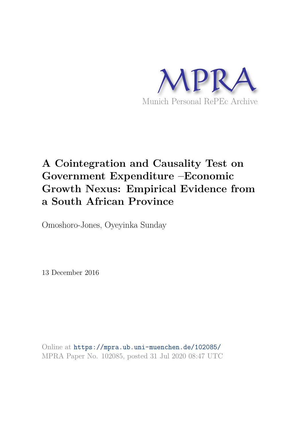

# **A Cointegration and Causality Test on Government Expenditure –Economic Growth Nexus: Empirical Evidence from a South African Province**

Omoshoro-Jones, Oyeyinka Sunday

13 December 2016

Online at https://mpra.ub.uni-muenchen.de/102085/ MPRA Paper No. 102085, posted 31 Jul 2020 08:47 UTC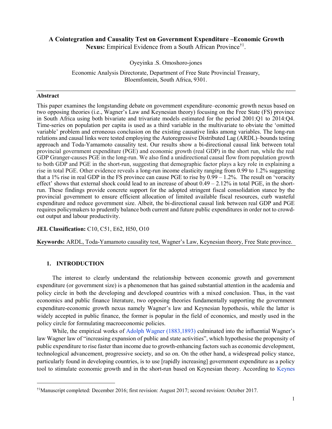## A Cointegration and Causality Test on Government Expenditure –Economic Growth

Nexus: Empirical Evidence from a South African Province<sup>†1</sup>.

Oyeyinka .S. Omoshoro-jones

Economic Analysis Directorate, Department of Free State Provincial Treasury, Bloemfontein, South Africa, 9301.

#### Abstract

This paper examines the longstanding debate on government expenditure–economic growth nexus based on two opposing theories (i.e., Wagner's Law and Keynesian theory) focusing on the Free State (FS) province in South Africa using both bivariate and trivariate models estimated for the period 2001:Q1 to 2014:Q4. Time-series on population per capita is used as a third variable in the multivariate to obviate the 'omitted variable' problem and erroneous conclusion on the existing causative links among variables. The long-run relations and causal links were tested employing the Autoregressive Distributed Lag (ARDL)–bounds testing approach and Toda-Yamamoto causality test. Our results show a bi-directional causal link between total provincial government expenditure (PGE) and economic growth (real GDP) in the short run, while the real GDP Granger-causes PGE in the long-run. We also find a unidirectional causal flow from population growth to both GDP and PGE in the short-run, suggesting that demographic factor plays a key role in explaining a rise in total PGE. Other evidence reveals a long-run income elasticity ranging from 0.99 to 1.2% suggesting that a 1% rise in real GDP in the FS province can cause PGE to rise by  $0.99 - 1.2$ %. The result on 'voracity effect' shows that external shock could lead to an increase of about  $0.49 - 2.12\%$  in total PGE, in the shortrun. These findings provide concrete support for the adopted stringent fiscal consolidation stance by the provincial government to ensure efficient allocation of limited available fiscal resources, curb wasteful expenditure and reduce government size. Albeit, the bi-directional causal link between real GDP and PGE requires policymakers to prudently balance both current and future public expenditures in order not to crowdout output and labour productivity.

## JEL Classification: C10, C51, E62, H50, O10

Keywords: ARDL, Toda-Yamamoto causality test, Wagner's Law, Keynesian theory, Free State province.

## 1. INTRODUCTION

 $\overline{a}$ 

The interest to clearly understand the relationship between economic growth and government expenditure (or government size) is a phenomenon that has gained substantial attention in the academia and policy circle in both the developing and developed countries with a mixed conclusion. Thus, in the vast economics and public finance literature, two opposing theories fundamentally supporting the government expenditure-economic growth nexus namely Wagner's law and Keynesian hypothesis, while the latter is widely accepted in public finance, the former is popular in the field of economics, and mostly used in the policy circle for formulating macroeconomic policies.

While, the empirical works of Adolph Wagner (1883,1893) culminated into the influential Wagner's law Wagner law of "increasing expansion of public and state activities", which hypothesise the propensity of public expenditure to rise faster than income due to growth-enhancing factors such as economic development, technological advancement, progressive society, and so on. On the other hand, a widespread policy stance, particularly found in developing countries, is to use [rapidly increasing] government expenditure as a policy tool to stimulate economic growth and in the short-run based on Keynesian theory. According to Keynes

<sup>†1</sup>Manuscript completed: December 2016; first revision: August 2017; second revision: October 2017.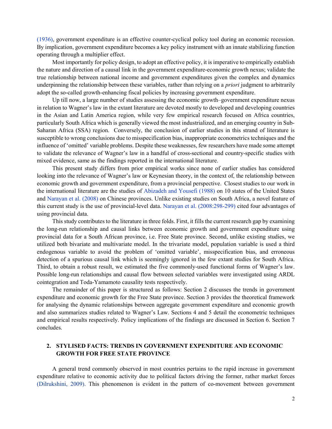(1936), government expenditure is an effective counter-cyclical policy tool during an economic recession. By implication, government expenditure becomes a key policy instrument with an innate stabilizing function operating through a multiplier effect.

Most importantly for policy design, to adopt an effective policy, it is imperative to empirically establish the nature and direction of a causal link in the government expenditure-economic growth nexus; validate the true relationship between national income and government expenditures given the complex and dynamics underpinning the relationship between these variables, rather than relying on a *priori* judgment to arbitrarily adopt the so-called growth-enhancing fiscal policies by increasing government expenditure.

Up till now, a large number of studies assessing the economic growth–government expenditure nexus in relation to Wagner's law in the extant literature are devoted mostly to developed and developing countries in the Asian and Latin America region, while very few empirical research focused on Africa countries, particularly South Africa which is generally viewed the most industrialized, and an emerging country in Sub-Saharan Africa (SSA) region. Conversely, the conclusion of earlier studies in this strand of literature is susceptible to wrong conclusions due to misspecification bias, inappropriate econometrics techniques and the influence of 'omitted' variable problems. Despite these weaknesses, few researchers have made some attempt to validate the relevance of Wagner's law in a handful of cross-sectional and country-specific studies with mixed evidence, same as the findings reported in the international literature.

This present study differs from prior empirical works since none of earlier studies has considered looking into the relevance of Wagner's law or Keynesian theory, in the context of, the relationship between economic growth and government expenditure, from a provincial perspective. Closest studies to our work in the international literature are the studies of Abizadeh and Yousefi (1988) on 10 states of the United States and Narayan et al. (2008) on Chinese provinces. Unlike existing studies on South Africa, a novel feature of this current study is the use of provincial-level data. Narayan et al. (2008:298-299) cited four advantages of using provincial data.

This study contributes to the literature in three folds. First, it fills the current research gap by examining the long-run relationship and causal links between economic growth and government expenditure using provincial data for a South African province, i.e. Free State province. Second, unlike existing studies, we utilized both bivariate and multivariate model. In the trivariate model, population variable is used a third endogenous variable to avoid the problem of 'omitted variable', misspecification bias, and erroneous detection of a spurious causal link which is seemingly ignored in the few extant studies for South Africa. Third, to obtain a robust result, we estimated the five commonly-used functional forms of Wagner's law. Possible long-run relationships and causal flow between selected variables were investigated using ARDL cointegration and Toda-Yamamoto causality tests respectively.

The remainder of this paper is structured as follows: Section 2 discusses the trends in government expenditure and economic growth for the Free State province. Section 3 provides the theoretical framework for analysing the dynamic relationships between aggregate government expenditure and economic growth and also summarizes studies related to Wagner's Law. Sections 4 and 5 detail the econometric techniques and empirical results respectively. Policy implications of the findings are discussed in Section 6. Section 7 concludes.

## 2. STYLISED FACTS: TRENDS IN GOVERNMENT EXPENDITURE AND ECONOMIC GROWTH FOR FREE STATE PROVINCE

A general trend commonly observed in most countries pertains to the rapid increase in government expenditure relative to economic activity due to political factors driving the former, rather market forces (Dilrukshini, 2009). This phenomenon is evident in the pattern of co-movement between government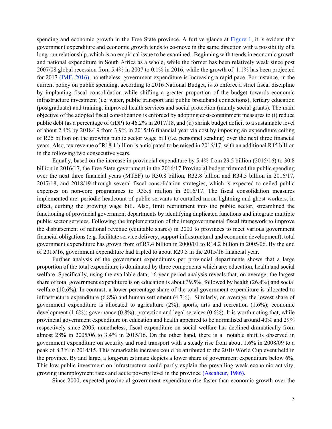spending and economic growth in the Free State province. A furtive glance at Figure 1, it is evident that government expenditure and economic growth tends to co-move in the same direction with a possibility of a long-run relationship, which is an empirical issue to be examined. Beginning with trends in economic growth and national expenditure in South Africa as a whole, while the former has been relatively weak since post 2007/08 global recession from 5.4% in 2007 to 0.1% in 2016, while the growth of 1.1% has been projected for 2017 (IMF, 2016), nonetheless, government expenditure is increasing a rapid pace. For instance, in the current policy on public spending, according to 2016 National Budget, is to enforce a strict fiscal discipline by implanting fiscal consolidation while shifting a greater proportion of the budget towards economic infrastructure investment (i.e. water, public transport and public broadband connections), tertiary education (postgraduate) and training, improved health services and social protection (mainly social grants). The main objective of the adopted fiscal consolidation is enforced by adopting cost-containment measures to (i) reduce public debt (as a percentage of GDP) to 46.2% in 2017/18, and (ii) shrink budget deficit to a sustainable level of about 2.4% by 2018/19 from 3.9% in 2015/16 financial year via cost by imposing an expenditure ceiling of R25 billion on the growing public sector wage bill (i.e. personnel sending) over the next three financial years. Also, tax revenue of R18.1 billion is anticipated to be raised in 2016/17, with an additional R15 billion in the following two consecutive years.

Equally, based on the increase in provincial expenditure by 5.4% from 29.5 billion (2015/16) to 30.8 billion in 2016/17, the Free State government in the 2016/17 Provincial budget trimmed the public spending over the next three financial years (MTEF) to R30.8 billion, R32.8 billion and R34.5 billion in 2016/17, 2017/18, and 2018/19 through several fiscal consolidation strategies, which is expected to ceiled public expenses on non-core programmes to R35.8 million in 2016/17. The fiscal consolidation measures implemented are: periodic headcount of public servants to curtailed moon-lightning and ghost workers, in effect, curbing the growing wage bill. Also, limit recruitment into the public sector, streamlined the functioning of provincial government departments by identifying duplicated functions and integrate multiple public sector services. Following the implementation of the intergovernmental fiscal framework to improve the disbursement of national revenue (equitable shares) in 2000 to provinces to meet various government financial obligations (e.g. facilitate service delivery, support infrastructural and economic development), total government expenditure has grown from of R7.4 billion in 2000/01 to R14.2 billion in 2005/06. By the end of 2015/16, government expenditure had tripled to about R29.5 in the 2015/16 financial year.

Further analysis of the government expenditures per provincial departments shows that a large proportion of the total expenditure is dominated by three components which are: education, health and social welfare. Specifically, using the available data, 16-year period analysis reveals that, on average, the largest share of total government expenditure is on education is about 39.5%, followed by health (26.4%) and social welfare (10.6%). In contrast, a lower percentage share of the total government expenditure is allocated to infrastructure expenditure (6.8%) and human settlement (4.7%). Similarly, on average, the lowest share of government expenditure is allocated to agriculture (2%); sports, arts and recreation (1.6%); economic development  $(1.6\%)$ ; governance  $(0.8\%)$ , protection and legal services  $(0.6\%)$ . It is worth noting that, while provincial government expenditure on education and health appeared to be normalised around 40% and 29% respectively since 2005, nonetheless, fiscal expenditure on social welfare has declined dramatically from almost 28% in 2005/06 to 3.4% in 2015/16. On the other hand, there is a notable shift is observed in government expenditure on security and road transport with a steady rise from about 1.6% in 2008/09 to a peak of 8.3% in 2014/15. This remarkable increase could be attributed to the 2010 World Cup event held in the province. By and large, a long-run estimate depicts a lower share of government expenditure below 6%. This low public investment on infrastructure could partly explain the prevailing weak economic activity, growing unemployment rates and acute poverty level in the province (Ascaheur, 1986).

Since 2000, expected provincial government expenditure rise faster than economic growth over the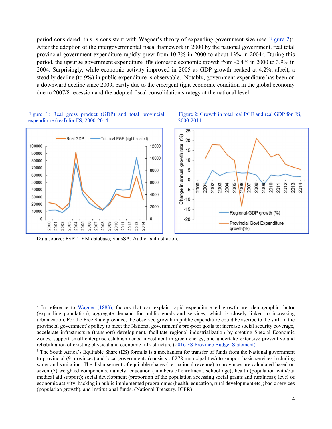period considered, this is consistent with Wagner's theory of expanding government size (see Figure 2)<sup>2</sup>. After the adoption of the intergovernmental fiscal framework in 2000 by the national government, real total provincial government expenditure rapidly grew from 10.7% in 2000 to about 13% in 2004<sup>3</sup> . During this period, the upsurge government expenditure lifts domestic economic growth from -2.4% in 2000 to 3.9% in 2004. Surprisingly, while economic activity improved in 2005 as GDP growth peaked at 4.2%, albeit, a steadily decline (to 9%) in public expenditure is observable. Notably, government expenditure has been on a downward decline since 2009, partly due to the emergent tight economic condition in the global economy due to 2007/8 recession and the adopted fiscal consolidation strategy at the national level.

Figure 2: Growth in total real PGE and real GDP for FS,



2000-2014

#### Figure 1: Real gross product (GDP) and total provincial expenditure (real) for FS, 2000-2014

Data source: FSPT IYM database; StatsSA; Author's illustration.

 $\overline{a}$ 

<sup>&</sup>lt;sup>2</sup> In reference to Wagner (1883), factors that can explain rapid expenditure-led growth are: demographic factor (expanding population), aggregate demand for public goods and services, which is closely linked to increasing urbanization. For the Free State province, the observed growth in public expenditure could be ascribe to the shift in the provincial government's policy to meet the National government's pro-poor goals to: increase social security coverage, accelerate infrastructure (transport) development, facilitate regional industrialization by creating Special Economic Zones, support small enterprise establishments, investment in green energy, and undertake extensive preventive and rehabilitation of existing physical and economic infrastructure (2016 FS Province Budget Statement).

<sup>&</sup>lt;sup>3</sup> The South Africa's Equitable Share (ES) formula is a mechanism for transfer of funds from the National government to provincial (9 provinces) and local governments (consists of 278 municipalities) to support basic services including water and sanitation. The disbursement of equitable shares (i.e. national revenue) to provinces are calculated based on seven (7) weighted components, namely: education (numbers of enrolment, school age); health (population with/out medical aid support); social development (proportion of the population accessing social grants and ruralness); level of economic activity; backlog in public implemented programmes (health, education, rural development etc); basic services (population growth), and institutional funds. (National Treasury, IGFR)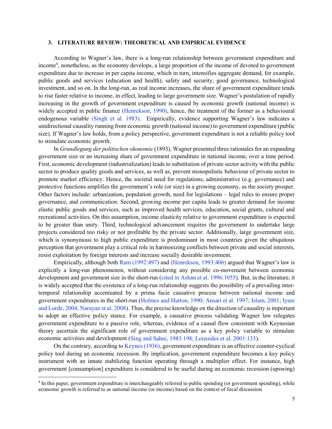#### 3. LITERATURE REVIEW: THEORETICAL AND EMPIRICAL EVIDENCE

According to Wagner's law, there is a long-run relationship between government expenditure and income<sup>4</sup>, nonetheless, as the economy develops, a large proportion of the income of devoted to government expenditure due to increase in per capita income, which in turn, intensifies aggregate demand, for example, public goods and services (education and health), safety and security, good governance, technological investment, and so on. In the long-run, as real income increases, the share of government expenditure tends to rise faster relative to income, in effect, leading to large government size. Wagner's postulation of rapidly increasing in the growth of government expenditure is caused by economic growth (national income) is widely accepted in public finance (Henrekson, 1990), hence, the treatment of the former as a behavioural endogenous variable (Singh et al. 1983). Empirically, evidence supporting Wagner's law indicates a unidirectional causality running from economic growth (national income) to government expenditure (public size). If Wagner's law holds, from a policy perspective, government expenditure is not a reliable policy tool to stimulate economic growth.

In Grundlegung der politischen okonomie (1893), Wagner presented three rationales for an expanding government size or an increasing share of government expenditure in national income, over a time period. First, economic development (industrialization) leads to substitution of private sector activity with the public sector to produce quality goods and services, as well as, prevent monopolistic behaviour of private sector to promote market efficiency. Hence, the societal need for regulations, administrative (e.g. governance) and protective functions amplifies the government's role (or size) in a growing economy, as the society prosper. Other factors include: urbanization, population growth, need for legislations – legal rules to ensure proper governance, and communication. Second, growing income per capita leads to greater demand for income elastic public goods and services, such as improved health services, education, social grants, cultural and recreational activities. On this assumption, income elasticity relative to government expenditure is expected to be greater than unity. Third, technological advancement requires the government to undertake large projects considered too risky or not profitable by the private sector. Additionally, large government size, which is synonymous to high public expenditure is predominant in most countries given the ubiquitous perception that government play a critical role in harmonizing conflicts between private and social interests, resist exploitation by foreign interests and increase socially desirable investment.

Empirically, although both Ram (1992:497) and (Henrekson, 1993:406) argued that Wagner's law is explicitly a long-run phenomenon, without considering any possible co-movement between economic development and government size in the short-run (cited in Ashan et al. 1996:1055). But, in the literature, it is widely accepted that the existence of a long-run relationship suggests the possibility of a prevailing intertemporal relationship accentuated by a prima facie causative process between national income and government expenditures in the short-run (Holmes and Hutton, 1990; Ansari et al. 1997; Islam, 2001; Iyare and Lorde, 2004; Narayan et al. 2008). Thus, the precise knowledge on the direction of causality is important to adopt an effective policy stance. For example, a causative process validating Wagner law relegates government expenditure to a passive role, whereas, evidence of a causal flow consistent with Keynesian theory ascertain the significant role of government expenditure as a key policy variable to stimulate economic activities and development (Sing and Sahni, 1983:198; Loizoides et al. 2001:133).

On the contrary, according to Keynes (1936), government expenditure is an effective counter-cyclical policy tool during an economic recession. By implication, government expenditure becomes a key policy instrument with an innate stabilizing function operating through a multiplier effect. For instance, high government [consumption] expenditure is considered to be useful during an economic recession (upswing)

 $\overline{a}$ 

<sup>&</sup>lt;sup>4</sup> In this paper, government expenditure is interchangeably referred to public spending (or government spending), while economic growth is referred to as national income (or income) based on the context of focal discussion.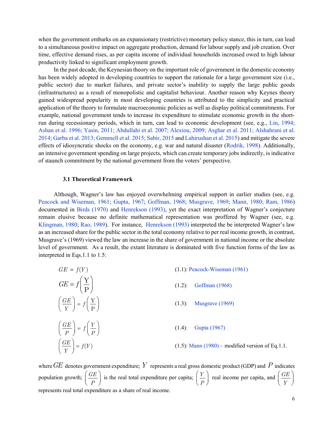when the government embarks on an expansionary (restrictive) monetary policy stance, this in turn, can lead to a simultaneous positive impact on aggregate production, demand for labour supply and job creation. Over time, effective demand rises, as per capita income of individual households increased owed to high labour productivity linked to significant employment growth.

In the past decade, the Keynesian theory on the important role of government in the domestic economy has been widely adopted in developing countries to support the rationale for a large government size (i.e., public sector) due to market failures, and private sector's inability to supply the large public goods (infrastructures) as a result of monopolistic and capitalist behaviour. Another reason why Keynes theory gained widespread popularity in most developing countries is attributed to the simplicity and practical application of the theory to formulate macroeconomic policies as well as display political commitments. For example, national government tends to increase its expenditure to stimulate economic growth in the shortrun during recessionary periods, which in turn, can lead to economic development (see, e.g., Lin, 1994; Ashan et al. 1996; Yasin, 2011; Abdullahi et al. 2007; Alexiou, 2009; Asghar et al. 2011; Alshahrani et al. 2014; Garba et al. 2013; Gemmell et al. 2015; Sabir, 2015 and Lahirushan et al. 2015) and mitigate the severe effects of idiosyncratic shocks on the economy, e.g. war and natural disaster (Rodrik, 1998). Additionally, an intensive government spending on large projects, which can create temporary jobs indirectly, is indicative of staunch commitment by the national government from the voters' perspective.

#### 3.1 Theoretical Framework

Although, Wagner's law has enjoyed overwhelming empirical support in earlier studies (see, e.g. Peacock and Wiseman, 1961; Gupta, 1967; Goffman, 1968; Musgrave, 1969; Mann, 1980; Ram, 1986) documented in Birds (1970) and Henrekson (1993), yet the exact interpretation of Wagner's conjecture remain elusive because no definite mathematical representation was proffered by Wagner (see, e.g. Klingman, 1980; Rao, 1989). For instance, Henrekson (1993) interpreted the be interpreted Wagner's law as an increased share for the public sector in the total economy relative to per real income growth, in contrast, Musgrave's (1969) viewed the law an increase in the share of government in national income or the absolute level of government. As a result, the extant literature is dominated with five function forms of the law as interpreted in Eqs.1.1 to 1.5:

| $GE = f(Y)$                                             | $(1.1)$ : Peacock-Wiseman $(1961)$                    |
|---------------------------------------------------------|-------------------------------------------------------|
| $GE = f\left(\frac{Y}{P}\right)$                        | Goffman (1968)<br>$(1.2)$ :                           |
| $\left(\frac{GE}{V}\right) = f\left(\frac{Y}{P}\right)$ | $(1.3)$ :<br>Musgrave (1969)                          |
| $\left(\frac{GE}{P}\right) = f\left(\frac{Y}{P}\right)$ | $(1.4)$ :<br>Gupta (1967)                             |
| $\left(\frac{GE}{Y}\right) = f(Y)$                      | $(1.5)$ : Mann $(1980)$ – modified version of Eq.1.1. |

where  $GE$  denotes government expenditure;  $Y$  represents a real gross domestic product (GDP) and  $P$  indicates population growth;  $\int \frac{GE}{}$  $\left(\frac{GE}{P}\right)$  is the real total expenditure per capita;  $\left(\frac{Y}{P}\right)$ P real income per capita, and  $GE$  $\left(\frac{GE}{Y}\right)$ represents real total expenditure as a share of real income.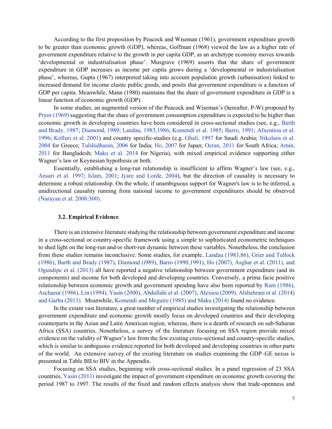According to the first proposition by Peacock and Wiseman (1961), government expenditure growth to be greater than economic growth (GDP), whereas, Goffman (1968) viewed the law as a higher rate of government expenditure relative to the growth in per capita GDP, as an archetype economy moves towards 'developmental or industrialisation phase'. Musgrave (1969) asserts that the share of government expenditure in GDP increases as income per capita grows during a 'developmental or industrialisation phase', whereas, Gupta (1967) interpreted taking into account population growth (urbanisation) linked to increased demand for income elastic public goods, and posits that government expenditure is a function of GDP per capita. Meanwhile, Mann (1980) maintains that the share of government expenditure in GDP is a linear function of economic growth (GDP).

In some studies, an augmented version of the Peacock and Wiseman's (hereafter, P-W) proposed by Pryor (1969) suggesting that the share of government consumption expenditure is expected to be higher than economic growth in developing countries have been considered in cross-sectional studies (see, e.g., Barth and Brady, 1987; Diamond, 1989; Landau, 1983,1986; Komendi et al. 1985; Barro, 1991; Afxentiou et al. 1996; Kolluri et al. 2001) and country specific-studies (e.g. Ghali, 1997 for Saudi Arabia; Nikolaos et al. 2004 for Greece; Tulshidharan, 2006 for India; Ho, 2007 for Japan; Ocran, 2011 for South Africa; Amin, 2011 for Bangladesh; Maku et al. 2014 for Nigeria), with mixed empirical evidence supporting either Wagner's law or Keynesian hypothesis or both.

Essentially, establishing a long-run relationship is insufficient to affirm Wagner's law (see, e.g., Ansari et al. 1997; Islam, 2001; Iyare and Lorde, 2004), but the direction of causality is necessary to determine a robust relationship. On the whole, if unambiguous support for Wagner's law is to be inferred, a unidirectional causality running from national income to government expenditures should be observed (Narayan et al. 2008:300).

#### 3.2. Empirical Evidence

There is an extensive literature studying the relationship between government expenditure and income in a cross-sectional or country-specific framework using a simple to sophisticated econometric techniques to shed light on the long-run and/or short-run dynamic between these variables. Nonetheless, the conclusion from these studies remains inconclusive. Some studies, for example, Landau (1983,86), Grier and Tullock (1986), Barth and Brady (1987), Diamond (i989), Barro (1990,1991), Ho (2007), Asghar et al. (2011), and Ogundipe et al. (2013) all have reported a negative relationship between government expenditure (and its components) and income for both developed and developing countries. Conversely, a prima facie positive relationship between economic growth and government spending have also been reported by Ram (1986), Aschaeur (1986), Lin (1994), Yasin (2000), Abdullahi et al. (2007), Alexiou (2009), Alshahrani et al. (2014) and Garba (2013). Meanwhile, Komendi and Meguire (1985) and Maku (2014) found no evidence.

In the extant vast literature, a great number of empirical studies investigating the relationship between government expenditure and economic growth mostly focus on developed countries and their developing counterparts in the Asian and Latin American region, whereas, there is a dearth of research on sub-Saharan Africa (SSA) countries. Nonetheless, a survey of the literature focusing on SSA region provide mixed evidence on the validity of Wagner's law from the few existing cross-sectional and country-specific studies, which is similar to ambiguous evidence reported for both developed and developing countries in other parts of the world. An extensive survey of the existing literature on studies examining the GDP–GE nexus is presented in Table BII to BIV in the Appendix.

Focusing on SSA studies, beginning with cross-sectional studies. In a panel regression of 23 SSA countries, Yasin (2011) investigate the impact of government expenditure on economic growth covering the period 1987 to 1997. The results of the fixed and random effects analysis show that trade-openness and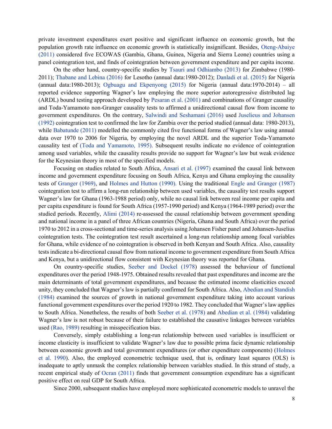private investment expenditures exert positive and significant influence on economic growth, but the population growth rate influence on economic growth is statistically insignificant. Besides, Oteng-Abaiye (2011) considered five ECOWAS (Gambia, Ghana, Guinea, Nigeria and Sierra Leone) countries using a panel cointegration test, and finds of cointegration between government expenditure and per capita income.

On the other hand, country-specific studies by Tsauri and Odhiambo (2013) for Zimbabwe (1980- 2011); Thabane and Lebina (2016) for Lesotho (annual data:1980-2012); Danladi et al. (2015) for Nigeria (annual data:1980-2013); Ogbuagu and Ekpenyong (2015) for Nigeria (annual data:1970-2014) – all reported evidence supporting Wagner's law employing the more superior autoregressive distributed lag (ARDL) bound testing approach developed by Pesaran et al. (2001) and combinations of Granger causality and Toda-Yamamoto non-Granger causality tests to affirmed a unidirectional causal flow from income to government expenditures. On the contrary, Salwindi and Seshamani (2016) used Juselieus and Johansen (1992) cointegration test to confirmed the law for Zambia over the period studied (annual data: 1980-2013), while Babatunde (2011) modelled the commonly cited five functional forms of Wagner's law using annual data over 1970 to 2006 for Nigeria, by employing the novel ARDL and the superior Toda-Yamamoto causality test of (Toda and Yamamoto, 1995). Subsequent results indicate no evidence of cointegration among used variables, while the causality results provide no support for Wagner's law but weak evidence for the Keynesian theory in most of the specified models.

Focusing on studies related to South Africa, Ansari et al. (1997) examined the causal link between income and government expenditure focusing on South Africa, Kenya and Ghana employing the causality tests of Granger (1969), and Holmes and Hutton (1990). Using the traditional Engle and Granger (1987) cointegration test to affirm a long-run relationship between used variables, the causality test results support Wagner's law for Ghana (1963-1988 period) only, while no causal link between real income per capita and per capita expenditure is found for South Africa (1957-1990 period) and Kenya (1964-1989 period) over the studied periods. Recently, Alimi (2014) re-assessed the causal relationship between government spending and national income in a panel of three African countries (Nigeria, Ghana and South Africa) over the period 1970 to 2012 in a cross-sectional and time-series analysis using Johansen Fisher panel and Johansen-Juselius cointegration tests. The cointegration test result ascertained a long-run relationship among focal variables for Ghana, while evidence of no cointegration is observed in both Kenyan and South Africa. Also, causality tests indicate a bi-directional causal flow from national income to government expenditure from South Africa and Kenya, but a unidirectional flow consistent with Keynesian theory was reported for Ghana.

On country-specific studies, Seeber and Dockel (1978) assessed the behaviour of functional expenditures over the period 1948-1975. Obtained results revealed that past expenditures and income are the main determinants of total government expenditures, and because the estimated income elasticities exceed unity, they concluded that Wagner's law is partially confirmed for South Africa. Also, Abedian and Standish (1984) examined the sources of growth in national government expenditure taking into account various functional government expenditures over the period 1920 to 1982. They concluded that Wagner's law applies to South Africa. Nonetheless, the results of both Seeber et al. (1978) and Abedian et al. (1984) validating Wagner's law is not robust because of their failure to established the causative linkages between variables used (Rao, 1989) resulting in misspecification bias.

Conversely, simply establishing a long-run relationship between used variables is insufficient or income elasticity is insufficient to validate Wagner's law due to possible prima facie dynamic relationship between economic growth and total government expenditures (or other expenditure components) (Holmes et al. 1990). Also, the employed econometric technique used, that is, ordinary least squares (OLS) is inadequate to aptly unmask the complex relationship between variables studied. In this strand of study, a recent empirical study of Ocran (2011) finds that government consumption expenditure has a significant positive effect on real GDP for South Africa.

Since 2000, subsequent studies have employed more sophisticated econometric models to unravel the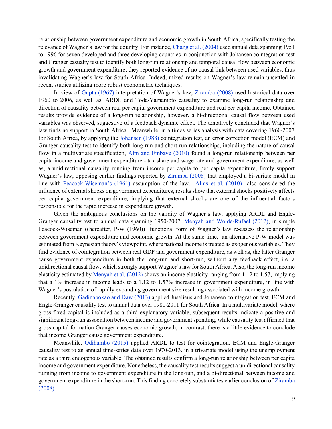relationship between government expenditure and economic growth in South Africa, specifically testing the relevance of Wagner's law for the country. For instance, Chang et al. (2004) used annual data spanning 1951 to 1996 for seven developed and three developing countries in conjunction with Johansen cointegration test and Granger casualty test to identify both long-run relationship and temporal causal flow between economic growth and government expenditure, they reported evidence of no causal link between used variables, thus invalidating Wagner's law for South Africa. Indeed, mixed results on Wagner's law remain unsettled in recent studies utilizing more robust econometric techniques.

In view of Gupta (1967) interpretation of Wagner's law, Ziramba (2008) used historical data over 1960 to 2006, as well as, ARDL and Toda-Yamamoto causality to examine long-run relationship and direction of causality between real per capita government expenditure and real per capita income. Obtained results provide evidence of a long-run relationship, however, a bi-directional causal flow between used variables was observed, suggestive of a feedback dynamic effect. The tentatively concluded that Wagner's law finds no support in South Africa. Meanwhile, in a times series analysis with data covering 1960-2007 for South Africa, by applying the Johansen (1988) cointegration test, an error correction model (ECM) and Granger causality test to identify both long-run and short-run relationships, including the nature of causal flow in a multivariate specification, Alm and Embaye (2010) found a long-run relationship between per capita income and government expenditure - tax share and wage rate and government expenditure, as well as, a unidirectional causality running from income per capita to per capita expenditure, firmly support Wagner's law, opposing earlier findings reported by Ziramba (2008) that employed a bi-variate model in line with Peacock-Wiseman's (1961) assumption of the law. Alms et al. (2010) also considered the influence of external shocks on government expenditures, results show that external shocks positively affects per capita government expenditure, implying that external shocks are one of the influential factors responsible for the rapid increase in expenditure growth.

Given the ambiguous conclusions on the validity of Wagner's law, applying ARDL and Engle-Granger causality test to annual data spanning 1950-2007, Menyah and Wolde-Rufael (2012), in simple Peacock-Wiseman ((hereafter, P-W (1960)) functional form of Wagner's law re-assess the relationship between government expenditure and economic growth. At the same time, an alternative P-W model was estimated from Keynesian theory's viewpoint, where national income is treated as exogenous variables. They find evidence of cointegration between real GDP and government expenditure, as well as, the latter Granger cause government expenditure in both the long-run and short-run, without any feedback effect, i.e. a unidirectional causal flow, which strongly support Wagner's law for South Africa. Also, the long-run income elasticity estimated by Menyah et al. (2012) shows an income elasticity ranging from 1.12 to 1.57, implying that a 1% increase in income leads to a 1.12 to 1.57% increase in government expenditure, in line with Wagner's postulation of rapidly expanding government size resulting associated with income growth.

Recently, Gadinabokao and Daw (2013) applied Juselieus and Johansen cointegration test, ECM and Engle-Granger causality test to annual data over 1980-2011 for South Africa. In a multivariate model, where gross fixed capital is included as a third explanatory variable, subsequent results indicate a positive and significant long-run association between income and government spending, while causality test affirmed that gross capital formation Granger causes economic growth, in contrast, there is a little evidence to conclude that income Granger cause government expenditure.

Meanwhile, Odihambo (2015) applied ARDL to test for cointegration, ECM and Engle-Granger causality test to an annual time-series data over 1970-2013, in a trivariate model using the unemployment rate as a third endogenous variable. The obtained results confirm a long-run relationship between per capita income and government expenditure. Nonetheless, the causality test results suggest a unidirectional causality running from income to government expenditure in the long-run, and a bi-directional between income and government expenditure in the short-run. This finding concretely substantiates earlier conclusion of Ziramba (2008).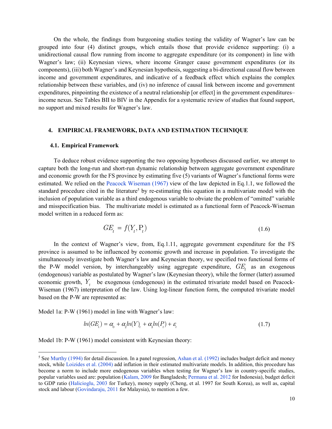On the whole, the findings from burgeoning studies testing the validity of Wagner's law can be grouped into four (4) distinct groups, which entails those that provide evidence supporting: (i) a unidirectional causal flow running from income to aggregate expenditure (or its component) in line with Wagner's law; (ii) Keynesian views, where income Granger cause government expenditures (or its components), (iii) both Wagner's and Keynesian hypothesis, suggesting a bi-directional causal flow between income and government expenditures, and indicative of a feedback effect which explains the complex relationship between these variables, and (iv) no inference of causal link between income and government expenditures, pinpointing the existence of a neutral relationship [or effect] in the government expenditures– income nexus. See Tables BII to BIV in the Appendix for a systematic review of studies that found support, no support and mixed results for Wagner's law.

#### 4. EMPIRICAL FRAMEWORK, DATA AND ESTIMATION TECHNIQUE

#### 4.1. Empirical Framework

To deduce robust evidence supporting the two opposing hypotheses discussed earlier, we attempt to capture both the long-run and short-run dynamic relationship between aggregate government expenditure and economic growth for the FS province by estimating five (5) variants of Wagner's functional forms were estimated. We relied on the Peacock Wiseman (1967) view of the law depicted in Eq.1.1, we followed the standard procedure cited in the literature<sup>5</sup> by re-estimating this equation in a multivariate model with the inclusion of population variable as a third endogenous variable to obviate the problem of "omitted" variable and misspecification bias. The multivariate model is estimated as a functional form of Peacock-Wiseman model written in a reduced form as:

$$
GE_t = f(Y_t, P_t) \tag{1.6}
$$

In the context of Wagner's view, from, Eq.1.11, aggregate government expenditure for the FS province is assumed to be influenced by economic growth and increase in population. To investigate the simultaneously investigate both Wagner's law and Keynesian theory, we specified two functional forms of the P-W model version, by interchangeably using aggregate expenditure,  $GE_t$  as an exogenous (endogenous) variable as postulated by Wagner's law (Keynesian theory), while the former (latter) assumed economic growth,  $Y_t$  be exogenous (endogenous) in the estimated trivariate model based on Peacock-Wiseman (1967) interpretation of the law. Using log-linear function form, the computed trivariate model based on the P-W are represented as:

Model 1a: P-W (1961) model in line with Wagner's law:

l

$$
ln(GE_t) = \alpha_0 + \alpha_2 ln(Y) + \alpha_3 ln(P_t) + \varepsilon_t
$$
\n(1.7)

Model 1b: P-W (1961) model consistent with Keynesian theory:

<sup>&</sup>lt;sup>5</sup> See Murthy (1994) for detail discussion. In a panel regression, Ashan et al. (1992) includes budget deficit and money stock, while Loizides et al. (2004) add inflation in their estimated multivariate models. In addition, this procedure has become a norm to include more endogenous variables when testing for Wagner's law in country-specific studies, popular variables used are: population (Kalam, 2009 for Bangladesh; Permana et al. 2012 for Indonesia), budget deficit to GDP ratio (Halicioglu, 2003 for Turkey), money supply (Cheng, et al. 1997 for South Korea), as well as, capital stock and labour (Govindaraju, 2011 for Malaysia), to mention a few.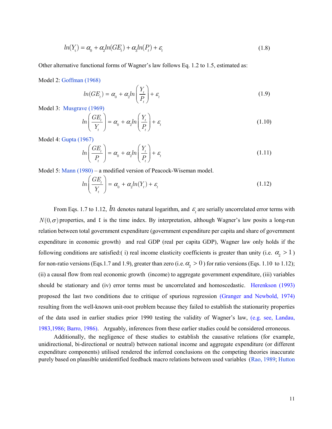$$
ln(Yt) = \alpha_0 + \alpha_2 ln(GE_t) + \alpha_3 ln(P_t) + \varepsilon_t
$$
\n(1.8)

Other alternative functional forms of Wagner's law follows Eq. 1.2 to 1.5, estimated as:

Model 2: Goffman (1968)

$$
ln(GE_t) = \alpha_0 + \alpha_2 ln\left(\frac{Y_t}{P_t}\right) + \varepsilon_t
$$
\n(1.9)

Model 3: Musgrave (1969)

$$
ln\left(\frac{GE_t}{Y_t}\right) = \alpha_0 + \alpha_2 ln\left(\frac{Y_t}{P_t}\right) + \varepsilon_t
$$
\n(1.10)

Model 4: Gupta (1967)

$$
ln\left(\frac{GE_t}{P_t}\right) = \alpha_0 + \alpha_2 ln\left(\frac{Y_t}{P_t}\right) + \varepsilon_t
$$
\n(1.11)

Model 5: Mann (1980) – a modified version of Peacock-Wiseman model.

$$
ln\left(\frac{GE_t}{Y_t}\right) = \alpha_0 + \alpha_2 ln(Y_t) + \varepsilon_t
$$
\n(1.12)

From Eqs. 1.7 to 1.12,  $\ln$  denotes natural logarithm, and  $\epsilon_{_t}$  are serially uncorrelated error terms with  $N(0, \sigma)$  properties, and t is the time index. By interpretation, although Wagner's law posits a long-run relation between total government expenditure (government expenditure per capita and share of government expenditure in economic growth) and real GDP (real per capita GDP), Wagner law only holds if the following conditions are satisfied: (i) real income elasticity coefficients is greater than unity (i.e.  $\alpha_{2} > 1$ ) for non-ratio versions (Eqs.1.7 and 1.9), greater than zero (i.e.  $\alpha_{2} > 0$ ) for ratio versions (Eqs. 1.10 to 1.12); (ii) a causal flow from real economic growth (income) to aggregate government expenditure, (iii) variables should be stationary and (iv) error terms must be uncorrelated and homoscedastic. Herenkson (1993) proposed the last two conditions due to critique of spurious regression (Granger and Newbold, 1974) resulting from the well-known unit-root problem because they failed to establish the stationarity properties of the data used in earlier studies prior 1990 testing the validity of Wagner's law, (e.g. see, Landau, 1983,1986; Barro, 1986). Arguably, inferences from these earlier studies could be considered erroneous.

Additionally, the negligence of these studies to establish the causative relations (for example, unidirectional, bi-directional or neutral) between national income and aggregate expenditure (or different expenditure components) utilised rendered the inferred conclusions on the competing theories inaccurate purely based on plausible unidentified feedback macro relations between used variables (Rao, 1989; Hutton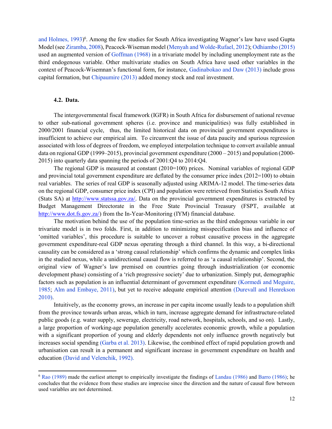and Holmes, 1993) 6 . Among the few studies for South Africa investigating Wagner's law have used Gupta Model (see Ziramba, 2008), Peacock-Wiseman model (Menyah and Wolde-Rufael, 2012); Odhiambo (2015) used an augmented version of Goffman (1968) in a trivariate model by including unemployment rate as the third endogenous variable. Other multivariate studies on South Africa have used other variables in the context of Peacock-Wisemnan's functional form, for instance, Gadinabokao and Daw (2013) include gross capital formation, but Chipaumire (2013) added money stock and real investment.

#### 4.2. Data.

 $\overline{\phantom{a}}$ 

The intergovernmental fiscal framework (IGFR) in South Africa for disbursement of national revenue to other sub-national government spheres (i.e. province and municipalities) was fully established in 2000/2001 financial cycle, thus, the limited historical data on provincial government expenditures is insufficient to achieve our empirical aim. To circumvent the issue of data paucity and spurious regression associated with loss of degrees of freedom, we employed interpolation technique to convert available annual data on regional GDP (1999–2015), provincial government expenditure (2000 – 2015) and population (2000- 2015) into quarterly data spanning the periods of 2001:Q4 to 2014:Q4.

The regional GDP is measured at constant (2010=100) prices. Nominal variables of regional GDP and provincial total government expenditure are deflated by the consumer price index  $(2012=100)$  to obtain real variables. The series of real GDP is seasonally adjusted using ARIMA-12 model. The time-series data on the regional GDP, consumer price index (CPI) and population were retrieved from Statistics South Africa (Stats SA) at http://www.statssa.gov.za/. Data on the provincial government expenditures is extracted by Budget Management Directorate in the Free State Provincial Treasury (FSPT, available at http://www.dot.fs.gov.za/) from the In-Year-Monitoring (IYM) financial database.

The motivation behind the use of the population time-series as the third endogenous variable in our trivariate model is in two folds. First, in addition to minimizing misspecification bias and influence of 'omitted variables', this procedure is suitable to uncover a robust causative process in the aggregate government expenditure-real GDP nexus operating through a third channel. In this way, a bi-directional causality can be considered as a 'strong causal relationship' which confirms the dynamic and complex links in the studied nexus, while a unidirectional causal flow is referred to as 'a causal relationship'. Second, the original view of Wagner's law premised on countries going through industrialization (or economic development phase) consisting of a 'rich progressive society' due to urbanization. Simply put, demographic factors such as population is an influential determinant of government expenditure (Kormedi and Meguire, 1985; Alm and Embaye, 2011), but yet to receive adequate empirical attention (Durevall and Henrekson 2010).

Intuitively, as the economy grows, an increase in per capita income usually leads to a population shift from the province towards urban areas, which in turn, increase aggregate demand for infrastructure-related public goods (e.g. water supply, sewerage, electricity, road network, hospitals, schools, and so on). Lastly, a large proportion of working-age population generally accelerates economic growth, while a population with a significant proportion of young and elderly dependents not only influence growth negatively but increases social spending (Garba et al. 2013). Likewise, the combined effect of rapid population growth and urbanisation can result in a permanent and significant increase in government expenditure on health and education (David and Velenchik, 1992).

<sup>&</sup>lt;sup>6</sup> Rao (1989) made the earliest attempt to empirically investigate the findings of Landau (1986) and Barro (1986); he concludes that the evidence from these studies are imprecise since the direction and the nature of causal flow between used variables are not determined.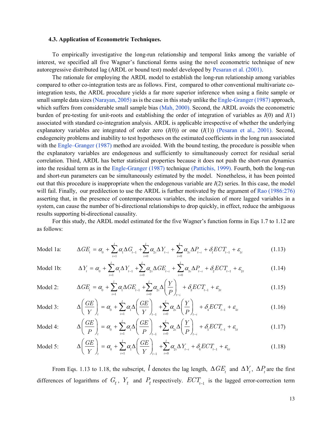#### 4.3. Application of Econometric Techniques.

To empirically investigative the long-run relationship and temporal links among the variable of interest, we specified all five Wagner's functional forms using the novel econometric technique of new autoregressive distributed lag (ARDL or bound test) model developed by Pesaran et al. (2001).

The rationale for employing the ARDL model to establish the long-run relationship among variables compared to other co-integration tests are as follows. First, compared to other conventional multivariate cointegration tests, the ARDL procedure yields a far more superior inference when using a finite sample or small sample data sizes (Narayan, 2005) as is the case in this study unlike the Engle-Granger (1987) approach, which suffers from considerable small sample bias (Mah, 2000). Second, the ARDL avoids the econometric burden of pre-testing for unit-roots and establishing the order of integration of variables as  $I(0)$  and  $I(1)$ associated with standard co-integration analysis. ARDL is applicable irrespective of whether the underlying explanatory variables are integrated of order zero  $(I(0))$  or one  $(I(1))$  (Pesaran et al., 2001). Second, endogeneity problems and inability to test hypotheses on the estimated coefficients in the long run associated with the Engle–Granger (1987) method are avoided. With the bound testing, the procedure is possible when the explanatory variables are endogenous and sufficiently to simultaneously correct for residual serial correlation. Third, ARDL has better statistical properties because it does not push the short-run dynamics into the residual term as in the Engle-Granger (1987) technique (Pattichis, 1999). Fourth, both the long-run and short-run parameters can be simultaneously estimated by the model. Nonetheless, it has been pointed out that this procedure is inappropriate when the endogenous variable are  $I(2)$  series. In this case, the model will fail. Finally, our predilection to use the ARDL is further motivated by the argument of Rao (1986:276) asserting that, in the presence of contemporaneous variables, the inclusion of more lagged variables in a system, can cause the number of bi-directional relationships to drop quickly, in effect, reduce the ambiguous results supporting bi-directional causality.

For this study, the ARDL model estimated for the five Wagner's function forms in Eqs 1.7 to 1.12 are as follows:

Model 1a: 
$$
\Delta GE_t = \alpha_0 + \sum_{i=1}^l \alpha_i \Delta G_{t-1} + \sum_{i=0}^l \alpha_{2i} \Delta Y_{t-i} + \sum_{i=0}^l \alpha_{3i} \Delta P_{t-i} + \delta_1 ECT_{t-1} + \varepsilon_{1t}
$$
(1.13)

Model 1b: 
$$
\Delta Y_{t} = \alpha_{0} + \sum_{i=1}^{l} \alpha_{i} \Delta Y_{t-1} + \sum_{i=0}^{l} \alpha_{2i} \Delta G E_{t-i} + \sum_{i=0}^{l} \alpha_{3i} \Delta P_{t-i} + \delta_{2} E C T_{t-1} + \varepsilon_{2t}
$$
(1.14)

$$
\text{Model 2:} \qquad \Delta G E_t = \alpha_0 + \sum_{i=1}^l \alpha_i \Delta G E_{t-1} + \sum_{i=0}^l \alpha_{2i} \Delta \left(\frac{Y}{P}\right)_{t-i} + \delta_3 E C T_{t-1} + \varepsilon_{3t} \qquad (1.15)
$$

$$
\text{Model 3:} \qquad \Delta \left( \frac{GE}{Y} \right)_t = \alpha_0 + \sum_{i=1}^l \alpha_i \Delta \left( \frac{GE}{Y} \right)_{t-1} + \sum_{i=0}^l \alpha_{2i} \Delta \left( \frac{Y}{P} \right)_{t-i} + \delta_t ECT_{t-1} + \varepsilon_{4t} \qquad (1.16)
$$

$$
\text{Model 4:} \qquad \Delta \left( \frac{GE}{P} \right)_t = \alpha_0 + \sum_{i=1}^l \alpha_i \Delta \left( \frac{GE}{P} \right)_{t-1} + \sum_{i=0}^l \alpha_{2i} \Delta \left( \frac{Y}{P} \right)_{t-i} + \delta_{\bar{b}} ECT_{t-1} + \varepsilon_{\bar{b}t} \qquad (1.17)
$$

$$
\text{Model 5:} \qquad \Delta \left( \frac{GE}{Y} \right)_t = \alpha_0 + \sum_{i=1}^l \alpha_i \Delta \left( \frac{GE}{Y} \right)_{t-1} + \sum_{i=0}^l \alpha_{2i} \Delta Y_{t-i} + \delta_6 ECT_{t-1} + \varepsilon_{6t} \qquad (1.18)
$$

From Eqs. 1.13 to 1.18, the subscript,  $l$  denotes the lag length,  $\Delta GE_t$  and  $\Delta Y_t$ ,  $\Delta P_t$  are the first differences of logarithms of  $G_t$ ,  $Y_t$  and  $P_t$  respectively.  $ECT_{t-1}$  is the lagged error-correction term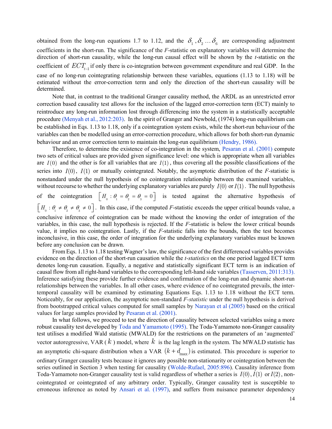obtained from the long-run equations 1.7 to 1.12, and the  $\delta_1$ ,  $\delta_2$ ...  $\delta_6$  are corresponding adjustment coefficients in the short-run. The significance of the F-statistic on explanatory variables will determine the direction of short-run causality, while the long-run causal effect will be shown by the *t*-statistic on the coefficient of  $ECT_{t-1}$  if only there is co-integration between government expenditure and real GDP. In the case of no long-run cointegrating relationship between these variables, equations (1.13 to 1.18) will be estimated without the error-correction term and only the direction of the short-run causality will be determined.

Note that, in contrast to the traditional Granger causality method, the ARDL as an unrestricted error correction based causality test allows for the inclusion of the lagged error-correction term (ECT) mainly to reintroduce any long-run information lost through differencing into the system in a statistically acceptable procedure (Menyah et al., 2012:203). In the spirit of Granger and Newbold, (1974) long-run equilibrium can be established in Eqs. 1.13 to 1.18, only if a cointegration system exists, while the short-run behaviour of the variables can then be modelled using an error-correction procedure, which allows for both short-run dynamic behaviour and an error correction term to maintain the long-run equilibrium (Hendry, 1986).

Therefore, to determine the existence of co-integration in the system, Pesaran et al. (2001) compute two sets of critical values are provided given significance level: one which is appropriate when all variables are  $I(0)$  and the other is for all variables that are  $I(1)$ , thus covering all the possible classifications of the series into  $I(0)$ ,  $I(1)$  or mutually cointegrated. Notably, the asymptotic distribution of the *F*-statistic is nonstandard under the null hypothesis of no cointegration relationship between the examined variables, without recourse to whether the underlying explanatory variables are purely  $I(0)$  or  $I(1)$ . The null hypothesis

of the cointegration  $\left[ H_0 : \theta_1 = \theta_2 = \theta_3 = 0 \right]$  is tested against the alternative hypothesis of  $H_0: \theta_1 \neq \theta_2 \neq \theta_3 \neq 0$ . In this case, if the computed *F*-statistic exceeds the upper critical bounds value, a

conclusive inference of cointegration can be made without the knowing the order of integration of the variables, in this case, the null hypothesis is rejected. If the F-statistic is below the lower critical bounds value, it implies no cointegration. Lastly, if the F-statistic falls into the bounds, then the test becomes inconclusive, in this case, the order of integration for the underlying explanatory variables must be known before any conclusion can be drawn.

From Eqs. 1.13 to 1.18 testing Wagner's law, the significance of the first differenced variables provides evidence on the direction of the short-run causation while the *t-statistics* on the one period lagged ECT term denotes long-run causation. Equally, a negative and statistically significant ECT term is an indication of causal flow from all right-hand variables to the corresponding left-hand side variables (Tasserven, 2011:313). Inference satisfying these provide further evidence and confirmation of the long-run and dynamic short-run relationships between the variables. In all other cases, where evidence of no cointegrated prevails, the intertemporal causality will be examined by estimating Equations Eqs. 1.13 to 1.18 without the ECT term. Noticeably, for our application, the asymptotic non-standard F-statistic under the null hypothesis is derived from bootstrapped critical values computed for small samples by Narayan et al (2005) based on the critical values for large samples provided by Pesaran et al. (2001).

In what follows, we proceed to test the direction of causality between selected variables using a more robust causality test developed by Toda and Yamamoto (1995). The Toda-Yamamoto non-Granger causality test utilises a modified Wald statistic (MWALD) for the restrictions on the parameters of an 'augmented' vector autoregressive, VAR ( $k$ ) model, where  $k$  is the lag length in the system. The MWALD statistic has an asymptotic chi-square distribution when a VAR  $(k + d_{\text{max}})$  is estimated. This procedure is superior to ordinary Granger causality tests because it ignores any possible non-stationarity or cointegration between the series outlined in Section 3 when testing for causality (Wolde-Rufael, 2005:896). Causality inference from Toda-Yamamoto non-Granger causality test is valid regardless of whether a series is  $I(0)$ ,  $I(1)$  or  $I(2)$ , noncointegrated or cointegrated of any arbitrary order. Typically, Granger causality test is susceptible to erroneous inference as noted by Ansari et al. (1997), and suffers from nuisance parameter dependency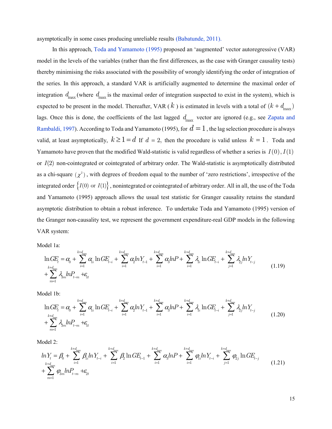asymptotically in some cases producing unreliable results (Babatunde, 2011).

In this approach, Toda and Yamamoto (1995) proposed an 'augmented' vector autoregressive (VAR) model in the levels of the variables (rather than the first differences, as the case with Granger causality tests) thereby minimising the risks associated with the possibility of wrongly identifying the order of integration of the series. In this approach, a standard VAR is artificially augmented to determine the maximal order of integration  $d_{\text{max}}$  (where  $d_{\text{max}}$  is the maximal order of integration suspected to exist in the system), which is expected to be present in the model. Thereafter, VAR (k) is estimated in levels with a total of  $(k + d_{\text{max}})$ lags. Once this is done, the coefficients of the last lagged  $d_{\text{max}}$  vector are ignored (e.g., see Zapata and Rambaldi, 1997). According to Toda and Yamamoto (1995), for  $d = 1$ , the lag selection procedure is always valid, at least asymptotically,  $k \ge 1 = d$  If  $d = 2$ , then the procedure is valid unless  $k = 1$ . Toda and Yamamoto have proven that the modified Wald-statistic is valid regardless of whether a series is  $I(0)$ ,  $I(1)$ or  $I(2)$  non-cointegrated or cointegrated of arbitrary order. The Wald-statistic is asymptotically distributed as a chi-square  $(\chi^2)$ , with degrees of freedom equal to the number of 'zero restrictions', irrespective of the integrated order  $\{I(0) \text{ or } I(1)\}$ , nonintegrated or cointegrated of arbitrary order. All in all, the use of the Toda and Yamamoto (1995) approach allows the usual test statistic for Granger causality retains the standard asymptotic distribution to obtain a robust inference. To undertake Toda and Yamamoto (1995) version of the Granger non-causality test, we represent the government expenditure-real GDP models in the following VAR system:

Model 1a:

$$
\ln G E_t = \alpha_0 + \sum_{i=1}^{k+d_{\text{max}}} \alpha_i \ln G E_{t-i} + \sum_{i=1}^{k+d_{\text{max}}} \alpha_i ln Y_{t-1} + \sum_{i=1}^{k+d_{\text{max}}} \alpha_i ln P + \sum_{i=1}^{k+d_{\text{max}}} \lambda_i \ln G E_{t-i} + \sum_{j=1}^{k+d_{\text{max}}} \lambda_j ln Y_{t-j} + \sum_{m=1}^{k+d_{\text{max}}} \lambda_m ln P_{t-m} + \varepsilon_{1t}
$$
\n(1.19)

Model 1b:

$$
\ln G E_t = \alpha_0 + \sum_{i=1}^{k+d_{\text{max}}} \alpha_i \ln G E_{t-i} + \sum_{i=1}^{k+d_{\text{max}}} \alpha_i ln Y_{t-1} + \sum_{i=1}^{k+d_{\text{max}}} \alpha_i ln P + \sum_{i=1}^{k+d_{\text{max}}} \lambda_i \ln G E_{t-i} + \sum_{j=1}^{k+d_{\text{max}}} \lambda_j ln Y_{t-j} + \sum_{m=1}^{k+d_{\text{max}}} \lambda_m ln P_{t-m} + \epsilon_{1t}
$$
\n(1.20)

Model 2:

$$
ln Y_{t} = \beta_{0} + \sum_{i=1}^{k+d_{\text{max}}} \beta_{i} ln Y_{t-i} + \sum_{i=1}^{k+d_{\text{max}}} \beta_{2} ln G E_{t-1} + \sum_{i=1}^{k+d_{\text{max}}} \alpha_{3} ln P + \sum_{i=1}^{k+d_{\text{max}}} \phi_{i} ln Y_{t-i} + \sum_{j=1}^{k+d_{\text{max}}} \phi_{2j} ln G E_{t-j} + \sum_{m=1}^{k+d_{\text{max}}} \phi_{3m} ln P_{t-m} + \varepsilon_{2t}
$$
\n(1.21)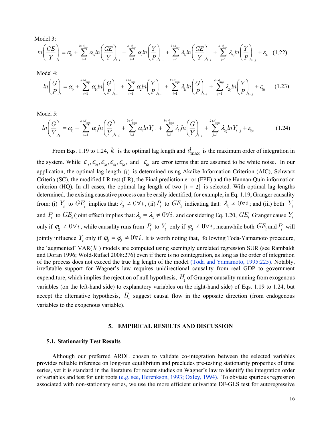Model 3:

$$
ln\left(\frac{GE}{Y}\right)_{t} = \alpha_{0} + \sum_{i=1}^{k+d_{\text{max}}} \alpha_{i} ln\left(\frac{GE}{Y}\right)_{t-i} + \sum_{i=1}^{k+d_{\text{max}}} \alpha_{2} ln\left(\frac{Y}{P}\right)_{t-1} + \sum_{i=1}^{k+d_{\text{max}}} \lambda_{i} ln\left(\frac{GE}{Y}\right)_{t-i} + \sum_{j=1}^{k+d_{\text{max}}} \lambda_{j} ln\left(\frac{Y}{P}\right)_{t-j} + \varepsilon_{4t} \quad (1.22)
$$

Model 4:

$$
ln\left(\frac{G}{P}\right)_{t} = \alpha_{0} + \sum_{i=1}^{k+d_{\text{max}}} \alpha_{i} ln\left(\frac{G}{P}\right)_{t-i} + \sum_{i=1}^{k+d_{\text{max}}} \alpha_{i} ln\left(\frac{Y}{P}\right)_{t-1} + \sum_{i=1}^{k+d_{\text{max}}} \lambda_{i} ln\left(\frac{G}{P}\right)_{t-i} + \sum_{j=1}^{k+d_{\text{max}}} \lambda_{j} ln\left(\frac{Y}{P}\right)_{t-j} + \varepsilon_{5t} \tag{1.23}
$$

Model 5:

$$
ln\left(\frac{G}{Y}\right)_{t} = \alpha_{0} + \sum_{i=1}^{k+d_{\text{max}}} \alpha_{i} ln\left(\frac{G}{Y}\right)_{t-i} + \sum_{i=1}^{k+d_{\text{max}}} \alpha_{i} ln Y_{t-1} + \sum_{i=1}^{k+d_{\text{max}}} \lambda_{i} ln\left(\frac{G}{Y}\right)_{t-i} + \sum_{j=1}^{k+d_{\text{max}}} \lambda_{j} ln Y_{t-j} + \varepsilon_{6t}
$$
(1.24)

From Eqs. 1.19 to 1.24,  $k$  is the optimal lag length and  $d_{\text{max}}$  is the maximum order of integration in the system. While  $\mathcal{E}_{1t}$ ,  $\mathcal{E}_{2t}$ ,  $\mathcal{E}_{3t}$ ,  $\mathcal{E}_{4t}$ ,  $\mathcal{E}_{5t}$ , and  $\mathcal{E}_{6t}$  are error terms that are assumed to be white noise. In our application, the optimal lag length  $(l)$  is determined using Akaike Information Criterion (AIC), Schwarz Criteria (SC), the modified LR test (LR), the Final prediction error (FPE) and the Hannan-Quin information criterion (HQ). In all cases, the optimal lag length of two  $\begin{bmatrix} l = 2 \end{bmatrix}$  is selected. With optimal lag lengths determined, the existing causative process can be easily identified, for example, in Eq. 1.19, Granger causality from: (i)  $Y_t$  to  $GE_t$  implies that:  $\lambda_2 \neq 0 \forall i$ , (ii)  $P_t$  to  $GE_t$  indicating that:  $\lambda_3 \neq 0 \forall i$ ; and (iii) both  $Y_t$ and  $P_t$  to  $GE_t$  (joint effect) implies that:  $\lambda_2 = \lambda_3 \neq 0 \forall i$ , and considering Eq. 1.20,  $GE_t$  Granger cause  $Y_t$ only if  $\varphi_2 \neq 0 \forall i$ , while causality runs from  $P_t$  to  $Y_t$  only if  $\varphi_3 \neq 0 \forall i$ , meanwhile both  $GE_t$  and  $P_t$  will jointly influence  $Y_t$  only if  $\varphi_2 = \varphi_3 \neq 0 \forall i$ . It is worth noting that, following Toda-Yamamoto procedure, the 'augmented' VAR $(k)$  models are computed using seemingly unrelated regression SUR (see Rambaldi and Doran 1996; Wold-Rufael 2008:276) even if there is no cointegration, as long as the order of integration of the process does not exceed the true lag length of the model (Toda and Yamamoto, 1995:225). Notably, irrefutable support for Wagner's law requires unidirectional causality from real GDP to government expenditure, which implies the rejection of null hypothesis,  $H_1$  of Granger causality running from exogenous variables (on the left-hand side) to explanatory variables on the right-hand side) of Eqs. 1.19 to 1.24, but accept the alternative hypothesis,  $H_{o}$  suggest causal flow in the opposite direction (from endogenous variables to the exogenous variable).

#### 5. EMPIRICAL RESULTS AND DISCUSSION

#### 5.1. Stationarity Test Results

Although our preferred ARDL chosen to validate co-integration between the selected variables provides reliable inference on long-run equilibrium and precludes pre-testing stationarity properties of time series, yet it is standard in the literature for recent studies on Wagner's law to identify the integration order of variables and test for unit roots (e.g. see, Herenkson, 1993; Oxley, 1994). To obviate spurious regression associated with non-stationary series, we use the more efficient univariate DF-GLS test for autoregressive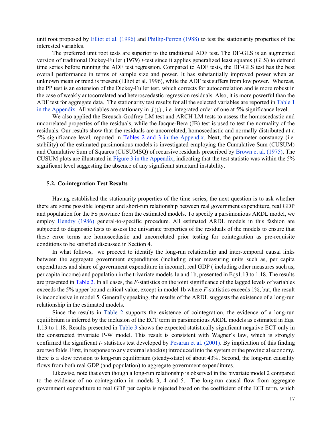unit root proposed by Elliot et al. (1996) and Phillip-Perron (1988) to test the stationarity properties of the interested variables.

The preferred unit root tests are superior to the traditional ADF test. The DF-GLS is an augmented version of traditional Dickey-Fuller (1979) t-test since it applies generalized least squares (GLS) to detrend time series before running the ADF test regression. Compared to ADF tests, the DF-GLS test has the best overall performance in terms of sample size and power. It has substantially improved power when an unknown mean or trend is present (Elliot et al. 1996), while the ADF test suffers from low power. Whereas, the PP test is an extension of the Dickey-Fuller test, which corrects for autocorrelation and is more robust in the case of weakly autocorrelated and heteroscedastic regression residuals. Also, it is more powerful than the ADF test for aggregate data. The stationarity test results for all the selected variables are reported in Table 1 in the Appendix. All variables are stationary in  $I(1)$ , i.e. integrated order of one at 5% significance level.

We also applied the Breusch-Godfrey LM test and ARCH LM tests to assess the homoscedastic and uncorrelated properties of the residuals, while the Jacque-Bera (JB) test is used to test the normality of the residuals. Our results show that the residuals are uncorrelated, homoscedastic and normally distributed at a 5% significance level, reported in Tables 2 and 3 in the Appendix. Next, the parameter constancy (i.e. stability) of the estimated parsimonious models is investigated employing the Cumulative Sum (CUSUM) and Cumulative Sum of Squares (CUSUMSQ) of recursive residuals prescribed by Brown et al. (1975). The CUSUM plots are illustrated in Figure 3 in the Appendix, indicating that the test statistic was within the 5% significant level suggesting the absence of any significant structural instability.

#### 5.2. Co-integration Test Results

Having established the stationarity properties of the time series, the next question is to ask whether there are some possible long-run and short-run relationship between real government expenditure, real GDP and population for the FS province from the estimated models. To specify a parsimonious ARDL model, we employ Hendry (1986) general-to-specific procedure. All estimated ARDL models in this fashion are subjected to diagnostic tests to assess the univariate properties of the residuals of the models to ensure that these error terms are homoscedastic and uncorrelated prior testing for cointegration as pre-requisite conditions to be satisfied discussed in Section 4.

In what follows, we proceed to identify the long-run relationship and inter-temporal causal links between the aggregate government expenditures (including other measuring units such as, per capita expenditures and share of government expenditure in income), real GDP ( including other measures such as, per capita income) and population in the trivariate models 1a and 1b, presented in Eqs1.13 to 1.18. The results are presented in Table 2. In all cases, the F-statistics on the joint significance of the lagged levels of variables exceeds the 5% upper bound critical value, except in model 1b where F-statistics exceeds 1%, but, the result is inconclusive in model 5. Generally speaking, the results of the ARDL suggests the existence of a long-run relationship in the estimated models.

Since the results in Table 2 supports the existence of cointegration, the evidence of a long-run equilibrium is inferred by the inclusion of the ECT term in parsimonious ARDL models as estimated in Eqs. 1.13 to 1.18. Results presented in Table 3 shows the expected statistically significant negative ECT only in the constructed trivariate P-W model. This result is consistent with Wagner's law, which is strongly confirmed the significant  $t$ - statistics test developed by Pesaran et al. (2001). By implication of this finding are two folds. First, in response to any external shock(s) introduced into the system or the provincial economy, there is a slow revision to long-run equilibrium (steady-state) of about 43%. Second, the long-run causality flows from both real GDP (and population) to aggregate government expenditures.

Likewise, note that even though a long-run relationship is observed in the bivariate model 2 compared to the evidence of no cointegration in models 3, 4 and 5. The long-run causal flow from aggregate government expenditure to real GDP per capita is rejected based on the coefficient of the ECT term, which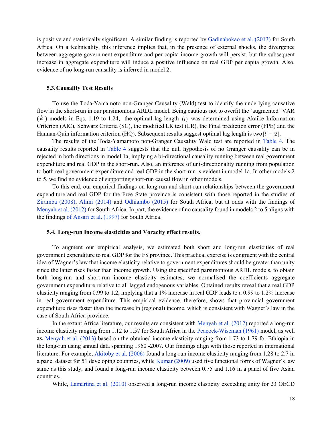is positive and statistically significant. A similar finding is reported by Gadinabokao et al. (2013) for South Africa. On a technicality, this inference implies that, in the presence of external shocks, the divergence between aggregate government expenditure and per capita income growth will persist, but the subsequent increase in aggregate expenditure will induce a positive influence on real GDP per capita growth. Also, evidence of no long-run causality is inferred in model 2.

#### 5.3.Causality Test Results

To use the Toda-Yamamoto non-Granger Causality (Wald) test to identify the underlying causative flow in the short-run in our parsimonious ARDL model. Being cautious not to overfit the 'augmented' VAR  $(k)$  models in Eqs. 1.19 to 1.24, the optimal lag length  $(l)$  was determined using Akaike Information Criterion (AIC), Schwarz Criteria (SC), the modified LR test (LR), the Final prediction error (FPE) and the Hannan-Quin information criterion (HQ). Subsequent results suggest optimal lag length is two  $|l = 2|$ .

The results of the Toda-Yamamoto non-Granger Causality Wald test are reported in Table 4. The causality results reported in Table 4 suggests that the null hypothesis of no Granger causality can be in rejected in both directions in model 1a, implying a bi-directional causality running between real government expenditure and real GDP in the short-run. Also, an inference of uni-directionality running from population to both real government expenditure and real GDP in the short-run is evident in model 1a. In other models 2 to 5, we find no evidence of supporting short-run causal flow in other models.

To this end, our empirical findings on long-run and short-run relationships between the government expenditure and real GDP for the Free State province is consistent with those reported in the studies of Ziramba (2008), Alimi (2014) and Odhiambo (2015) for South Africa, but at odds with the findings of Menyah et al. (2012) for South Africa. In part, the evidence of no causality found in models 2 to 5 aligns with the findings of Ansari et al. (1997) for South Africa.

### 5.4. Long-run Income elasticities and Voracity effect results.

To augment our empirical analysis, we estimated both short and long-run elasticities of real government expenditure to real GDP for the FS province. This practical exercise is congruent with the central idea of Wagner's law that income elasticity relative to government expenditures should be greater than unity since the latter rises faster than income growth. Using the specified parsimonious ARDL models, to obtain both long-run and short-run income elasticity estimates, we normalised the coefficients aggregate government expenditure relative to all lagged endogenous variables. Obtained results reveal that a real GDP elasticity ranging from 0.99 to 1.2, implying that a 1% increase in real GDP leads to a 0.99 to 1.2% increase in real government expenditure. This empirical evidence, therefore, shows that provincial government expenditure rises faster than the increase in (regional) income, which is consistent with Wagner's law in the case of South Africa province.

In the extant Africa literature, our results are consistent with Menyah et al. (2012) reported a long-run income elasticity ranging from 1.12 to 1.57 for South Africa in the Peacock-Wiseman (1961) model, as well as, Menyah et al. (2013) based on the obtained income elasticity ranging from 1.73 to 1.79 for Ethiopia in the long-run using annual data spanning 1950 -2007. Our findings align with those reported in international literature. For example, Akitoby et al. (2006) found a long-run income elasticity ranging from 1.28 to 2.7 in a panel dataset for 51 developing countries, while Kumar (2009) used five functional forms of Wagner's law same as this study, and found a long-run income elasticity between 0.75 and 1.16 in a panel of five Asian countries.

While, Lamartina et al. (2010) observed a long-run income elasticity exceeding unity for 23 OECD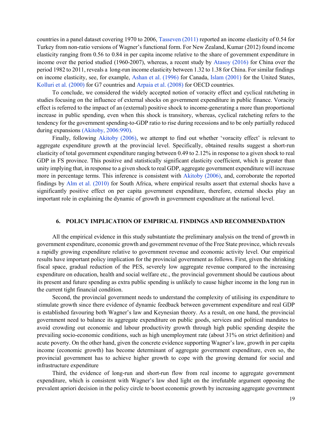countries in a panel dataset covering 1970 to 2006, Tasseven (2011) reported an income elasticity of 0.54 for Turkey from non-ratio versions of Wagner's functional form. For New Zealand, Kumar (2012) found income elasticity ranging from 0.56 to 0.84 in per capita income relative to the share of government expenditure in income over the period studied (1960-2007), whereas, a recent study by Atasoy (2016) for China over the period 1982 to 2011, reveals a long-run income elasticity between 1.32 to 1.38 for China. For similar findings on income elasticity, see, for example, Ashan et al. (1996) for Canada, Islam (2001) for the United States, Kolluri et al. (2000) for G7 countries and Arpaia et al. (2008) for OECD countries.

To conclude, we considered the widely accepted notion of voracity effect and cyclical ratcheting in studies focusing on the influence of external shocks on government expenditure in public finance. Voracity effect is referred to the impact of an (external) positive shock to income-generating a more than proportional increase in public spending, even when this shock is transitory, whereas, cyclical ratcheting refers to the tendency for the government spending-to-GDP ratio to rise during recessions and to be only partially reduced during expansions (Akitoby, 2006:990).

Finally, following Akitoby (2006), we attempt to find out whether 'voracity effect' is relevant to aggregate expenditure growth at the provincial level. Specifically, obtained results suggest a short-run elasticity of total government expenditure ranging between 0.49 to 2.12% in response to a given shock to real GDP in FS province. This positive and statistically significant elasticity coefficient, which is greater than unity implying that, in response to a given shock to real GDP, aggregate government expenditure will increase more in percentage terms. This inference is consistent with Akitoby (2006), and, corroborate the reported findings by Alm et al. (2010) for South Africa, where empirical results assert that external shocks have a significantly positive effect on per capita government expenditure, therefore, external shocks play an important role in explaining the dynamic of growth in government expenditure at the national level.

#### 6. POLICY IMPLICATION OF EMPIRICAL FINDINGS AND RECOMMENDATION

All the empirical evidence in this study substantiate the preliminary analysis on the trend of growth in government expenditure, economic growth and government revenue of the Free State province, which reveals a rapidly growing expenditure relative to government revenue and economic activity level. Our empirical results have important policy implication for the provincial government as follows. First, given the shrinking fiscal space, gradual reduction of the PES, severely low aggregate revenue compared to the increasing expenditure on education, health and social welfare etc., the provincial government should be cautious about its present and future spending as extra public spending is unlikely to cause higher income in the long run in the current tight financial condition.

Second, the provincial government needs to understand the complexity of utilising its expenditure to stimulate growth since there evidence of dynamic feedback between government expenditure and real GDP is established favouring both Wagner's law and Keynesian theory. As a result, on one hand, the provincial government need to balance its aggregate expenditure on public goods, services and political mandates to avoid crowding out economic and labour productivity growth through high public spending despite the prevailing socio-economic conditions, such as high unemployment rate (about 31% on strict definition) and acute poverty. On the other hand, given the concrete evidence supporting Wagner's law, growth in per capita income (economic growth) has become determinant of aggregate government expenditure, even so, the provincial government has to achieve higher growth to cope with the growing demand for social and infrastructure expenditure

Third, the evidence of long-run and short-run flow from real income to aggregate government expenditure, which is consistent with Wagner's law shed light on the irrefutable argument opposing the prevalent apriori decision in the policy circle to boost economic growth by increasing aggregate government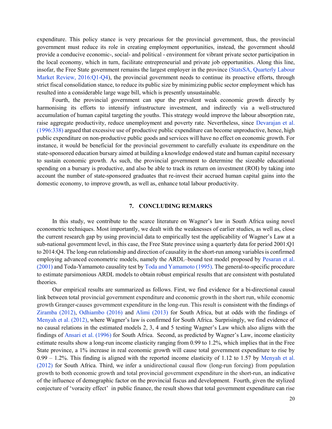expenditure. This policy stance is very precarious for the provincial government, thus, the provincial government must reduce its role in creating employment opportunities, instead, the government should provide a conducive economic-, social- and political - environment for vibrant private sector participation in the local economy, which in turn, facilitate entrepreneurial and private job opportunities. Along this line, insofar, the Free State government remains the largest employer in the province (StatsSA, Quarterly Labour Market Review, 2016:Q1-Q4), the provincial government needs to continue its proactive efforts, through strict fiscal consolidation stance, to reduce its public size by minimizing public sector employment which has resulted into a considerable large wage bill, which is presently unsustainable.

Fourth, the provincial government can spur the prevalent weak economic growth directly by harmonising its efforts to intensify infrastructure investment, and indirectly via a well-structured accumulation of human capital targeting the youths. This strategy would improve the labour absorption rate, raise aggregate productivity, reduce unemployment and poverty rate. Nevertheless, since Devarajan et al. (1996:338) argued that excessive use of productive public expenditure can become unproductive, hence, high public expenditure on non-productive public goods and services will have no effect on economic growth. For instance, it would be beneficial for the provincial government to carefully evaluate its expenditure on the state-sponsored education bursary aimed at building a knowledge endowed state and human capital necessary to sustain economic growth. As such, the provincial government to determine the sizeable educational spending on a bursary is productive, and also be able to track its return on investment (ROI) by taking into account the number of state-sponsored graduates that re-invest their accrued human capital gains into the domestic economy, to improve growth, as well as, enhance total labour productivity.

#### 7. CONCLUDING REMARKS

In this study, we contribute to the scarce literature on Wagner's law in South Africa using novel econometric techniques. Most importantly, we dealt with the weaknesses of earlier studies, as well as, close the current research gap by using provincial data to empirically test the applicability of Wagner's Law at a sub-national government level, in this case, the Free State province using a quarterly data for period 2001:Q1 to 2014:Q4. The long-run relationship and direction of causality in the short-run among variables is confirmed employing advanced econometric models, namely the ARDL–bound test model proposed by Pesaran et al. (2001) and Toda-Yamamoto causality test by Toda and Yamamoto (1995). The general-to-specific procedure to estimate parsimonious ARDL models to obtain robust empirical results that are consistent with postulated theories.

Our empirical results are summarized as follows. First, we find evidence for a bi-directional causal link between total provincial government expenditure and economic growth in the short run, while economic growth Granger-causes government expenditure in the long-run. This result is consistent with the findings of Ziramba (2012), Odhiambo (2016) and Alimi (2013) for South Africa, but at odds with the findings of Menyah et al. (2012), where Wagner's law is confirmed for South Africa. Surprisingly, we find evidence of no causal relations in the estimated models 2, 3, 4 and 5 testing Wagner's Law which also aligns with the findings of Ansari et al. (1996) for South Africa. Second, as predicted by Wagner's Law, income elasticity estimate results show a long-run income elasticity ranging from 0.99 to 1.2%, which implies that in the Free State province, a 1% increase in real economic growth will cause total government expenditure to rise by 0.99 – 1.2%. This finding is aligned with the reported income elasticity of 1.12 to 1.57 by Menyah et al. (2012) for South Africa. Third, we infer a unidirectional causal flow (long-run forcing) from population growth to both economic growth and total provincial government expenditure in the short-run, an indicative of the influence of demographic factor on the provincial fiscus and development. Fourth, given the stylized conjecture of 'voracity effect' in public finance, the result shows that total government expenditure can rise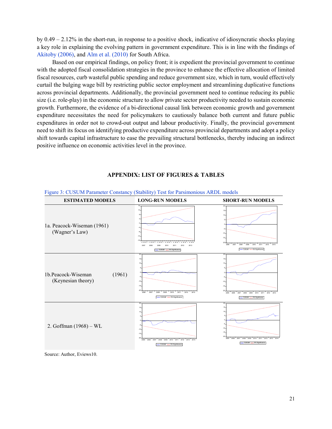by 0.49 – 2.12% in the short-run, in response to a positive shock, indicative of idiosyncratic shocks playing a key role in explaining the evolving pattern in government expenditure. This is in line with the findings of Akitoby (2006), and Alm et al. (2010) for South Africa.

Based on our empirical findings, on policy front; it is expedient the provincial government to continue with the adopted fiscal consolidation strategies in the province to enhance the effective allocation of limited fiscal resources, curb wasteful public spending and reduce government size, which in turn, would effectively curtail the bulging wage bill by restricting public sector employment and streamlining duplicative functions across provincial departments. Additionally, the provincial government need to continue reducing its public size (i.e. role-play) in the economic structure to allow private sector productivity needed to sustain economic growth. Furthermore, the evidence of a bi-directional causal link between economic growth and government expenditure necessitates the need for policymakers to cautiously balance both current and future public expenditures in order not to crowd-out output and labour productivity. Finally, the provincial government need to shift its focus on identifying productive expenditure across provincial departments and adopt a policy shift towards capital infrastructure to ease the prevailing structural bottlenecks, thereby inducing an indirect positive influence on economic activities level in the province.



## APPENDIX: LIST OF FIGURES & TABLES

Source: Author, Eviews10.

21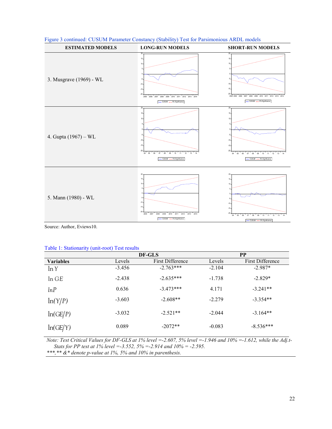| <b>ESTIMATED MODELS</b> | <b>LONG-RUN MODELS</b>                                                                                                                     | <b>SHORT-RUN MODELS</b>                                                                                                                                                               |
|-------------------------|--------------------------------------------------------------------------------------------------------------------------------------------|---------------------------------------------------------------------------------------------------------------------------------------------------------------------------------------|
| 3. Musgrave (1969) - WL | 15<br>-5<br>$-10$<br>$-15$<br>2005 2006 2007 2008 2009 2010 2011 2012 2013 2014<br>- CUSUM ----- 5% Significance                           | $15 -$<br>10<br>-5<br>$-10 -$<br>$-15 -$<br>$-20 -$<br>2004 2005 2006 2007 2008 2009 2010 2011 2012 2013 2014<br>- CUSUM ----- 5% Significance                                        |
| 4. Gupta (1967) – WL    | 20<br>15<br>10<br>-5<br>$-10$<br>$-15.$<br>$-20$<br>04 05 06<br>$12$ 13<br>07<br>08<br>09<br>10<br>14<br>11<br>CUSUM ----- 5% Significance | 20-<br>$15 -$<br>10 <sub>10</sub><br>5<br>n<br>$-5$<br>$-10 -$<br>$-15 -$<br>$-20$<br>$04 \ 05$<br>$12 - 13$<br>14<br>06<br>07<br>08<br>09<br>10<br>11<br>CUSUM ----- 5% Significance |
| 5. Mann (1980) - WL     | 20<br>15 <sub>15</sub><br>10<br>$-10$<br>$-15$<br>$-20 -$<br>2006 2007 2008 2009 2010 2011 2012 2013 2014<br>- CUSUM ---- 5% Significance  | 20<br>$15 -$<br>10 <sub>10</sub><br>-5<br>$-10 -$<br>$-15 -$<br>$-20.$<br>04 05 06 07 08<br>09<br>12 13<br>14<br>$10 - 11$<br>- CUSUM --- 5% Significance                             |

|  |  |  | Figure 3 continued: CUSUM Parameter Constancy (Stability) Test for Parsimonious ARDL models |  |
|--|--|--|---------------------------------------------------------------------------------------------|--|
|  |  |  |                                                                                             |  |

Source: Author, Eviews10.

#### Table 1: Stationarity (unit-root) Test results

|                  |          | DF-GLS           |          | <b>PP</b>               |
|------------------|----------|------------------|----------|-------------------------|
| <b>Variables</b> | Levels   | First Difference | Levels   | <b>First Difference</b> |
| ln Y             | $-3.456$ | $-2.763***$      | $-2.104$ | $-2.987*$               |
| ln GE            | $-2.438$ | $-2.635***$      | $-1.738$ | $-2.829*$               |
| lnP              | 0.636    | $-3.473***$      | 4.171    | $-3.241**$              |
| ln(Y/P)          | $-3.603$ | $-2.608**$       | $-2.279$ | $-3.354**$              |
| ln(GE/P)         | $-3.032$ | $-2.521**$       | $-2.044$ | $-3.164**$              |
| ln(GE/Y)         | 0.089    | $-2072**$        | $-0.083$ | $-8.536***$             |

Note: Test Critical Values for DF-GLS at 1% level =-2.607, 5% level =-1.946 and 10% =-1.612, while the Adj.t-Stats for PP test at 1% level =  $-3.552$ ,  $5\%$  =  $-2.914$  and  $10\%$  =  $-2.595$ . \*\*\*,\*\*  $&$ \* denote p-value at 1%, 5% and 10% in parenthesis.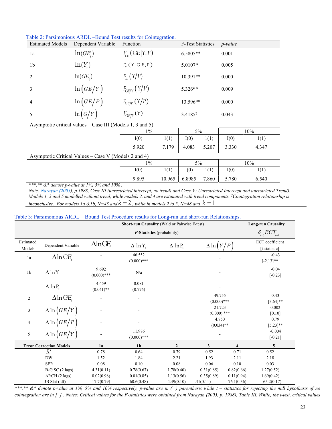| <b>Estimated Models</b> | Dependent Variable                                        | Function                |        | <b>F-Test Statistics</b> |       | $p$ -value |       |
|-------------------------|-----------------------------------------------------------|-------------------------|--------|--------------------------|-------|------------|-------|
| 1a                      | ln(GE)                                                    | $F_{CF}$ (GE Y, P)      |        | 6.5805**                 |       | 0.001      |       |
| 1 <sub>b</sub>          | $\ln(Y)$                                                  | $F_{\rm v}$ (Y  G E, P) |        | 5.0107*                  |       | 0.005      |       |
| $\overline{2}$          | ln(GE)                                                    | $F_{\text{GE}}(Y/P)$    |        | $10.391**$               |       | 0.000      |       |
| 3                       | $\ln(GE/Y)$                                               | $F_{GE/Y}(Y/P)$         |        | 5.326**                  |       | 0.009      |       |
| 4                       | $\ln(GE/P)$                                               | $F_{GE/P} (Y/P)$        |        | 13.596**                 |       | 0.000      |       |
| 5                       | $\ln(G/Y)$                                                | $F_{GE/Y}(Y)$           |        | $3.4185*$                |       | 0.043      |       |
|                         | Asymptotic critical values – Case III (Models 1, 3 and 5) |                         |        |                          |       |            |       |
|                         |                                                           | $1\%$                   |        | 5%                       |       |            | 10%   |
|                         |                                                           | I(0)                    | 1(1)   | I(0)                     | 1(1)  | I(0)       | 1(1)  |
|                         |                                                           | 5.920                   | 7.179  | 4.083                    | 5.207 | 3.330      | 4.347 |
|                         | Asymptotic Critical Values – Case V (Models 2 and 4)      |                         |        |                          |       |            |       |
|                         |                                                           | $1\%$                   |        | 5%                       |       |            | 10%   |
|                         |                                                           | I(0)                    | 1(1)   | I(0)                     | 1(1)  | I(0)       | 1(1)  |
|                         |                                                           | 9.895                   | 10.965 | 6.8985                   | 7.860 | 5.780      | 6.540 |

Table 2: Parsimonious ARDL –Bound Test results for Cointegration.

\*\*\*,\*\*  $&$  denote p-value at 1%, 5% and 10%.

Note: Narayan (2005), p.1988, Case III (unrestricted intercept, no trend) and Case V: Unrestricted Intercept and unrestricted Trend). Models 1, 3 and 5 modelled without trend, while models 2, and 4 are estimated with trend components. <sup>‡</sup>Cointegration relationship is inconclusive. For models 1a &1b, N=43 and  $k = 2$ , while in models 2 to 5, N=48 and  $k = 1$ 

|  | Table 3: Parsimonious ARDL – Bound Test Procedure results for Long-run and short-run Relationships. |  |
|--|-----------------------------------------------------------------------------------------------------|--|
|  |                                                                                                     |  |

| <b>Short-run Causality (Wald or Pairwise F-test)</b> |                                          |                        |                           |                            |                                 | <b>Long-run Causality</b>                                      |                                         |
|------------------------------------------------------|------------------------------------------|------------------------|---------------------------|----------------------------|---------------------------------|----------------------------------------------------------------|-----------------------------------------|
|                                                      | $F$ -Statistics (probability)            |                        |                           |                            |                                 | $\delta_{\scriptscriptstyle i=6} ECT_{\scriptscriptstyle t-1}$ |                                         |
| Estimated<br>Models                                  | Dependent Variable                       | $\Delta$ lnGE          | $\Delta$ lnY <sub>r</sub> | $\Delta$ ln P <sub>r</sub> | $\Delta \ln \left( Y/P \right)$ |                                                                | <b>ECT</b> coefficient<br>[t-statistic] |
| 1a                                                   | $\Delta$ ln GE                           |                        | 46.552<br>$(0.000)$ ***   |                            |                                 |                                                                | $-0.43$<br>$[-2.13]$ **                 |
| 1 <sub>b</sub>                                       | $\Delta$ lnY <sub>r</sub>                | 9.692<br>$(0.000)$ *** | N/a                       |                            |                                 |                                                                | $-0.04$<br>$[-0.23]$                    |
|                                                      | $\Delta$ ln P                            | 4.459<br>$(0.041)$ **  | 0.081<br>(0.776)          |                            |                                 |                                                                |                                         |
| $\mathbf{2}$                                         | $\Delta$ ln GE                           |                        |                           |                            | 49.755                          |                                                                | 0.43                                    |
|                                                      |                                          |                        |                           |                            | $(0.000)$ ***                   |                                                                | $[3.64]$ **                             |
| 3                                                    | $\Delta \ln \left( GE/Y\right)$          |                        |                           |                            | 21.723<br>$(0.000)$ ***         |                                                                | 0.002<br>[0.10]                         |
| 4                                                    | $\Delta \ln \left( GE/P\right)$          |                        |                           |                            | 4.750<br>$(0.034)$ **           |                                                                | 0.79<br>$[5.23]$ **                     |
| 5                                                    | $\Delta \ln \left( \frac{GE}{Y} \right)$ |                        | 11.976<br>$(0.000)$ ***   |                            |                                 |                                                                | $-0.004$<br>$[-0.21]$                   |
|                                                      | <b>Error Correction Models</b>           | 1a                     | 1 <sub>b</sub>            | $\mathbf{2}$               | 3                               | $\overline{\mathbf{4}}$                                        | 5                                       |
|                                                      | $R^2$                                    | 0.78                   | 0.64                      | 0.79                       | 0.52                            | 0.71                                                           | 0.52                                    |
|                                                      | <b>DW</b>                                | 1.52                   | 1.84                      | 2.21                       | 1.93                            | 2.11                                                           | 2.18                                    |
|                                                      | <b>SER</b>                               | 0.08                   | 0.10                      | 0.08                       | 0.06                            | 0.10                                                           | 0.03                                    |
|                                                      | $B-G SC (2 lags)$                        | 4.31(0.11)             | 0.78(0.67)                | 1.78(0.40)                 | 0.31(0.85)                      | 0.82(0.66)                                                     | 1.27(0.52)                              |
|                                                      | ARCH (2 lags)                            | 0.02(0.98)             | 0.01(0.85)                | 1.13(0.56)                 | 0.35(0.89)                      | 0.11(0.94)                                                     | 1.69(0.42)                              |
|                                                      | JB Stat (df)                             | 17.7(0.79)             | 60.6(0.48)                | 4.49(0.10)                 | .31(0.11)                       | 76.1(0.36)                                                     | 65.2(0.17)                              |

\*\*\*,\*\*  $\&$ \* denote p-value at 1%, 5% and 10% respectively, p-value are in () parenthesis while t – statistics for rejecting the null hypothesis of no cointegration are in [ ] . Notes: Critical values for the F-statistics were obtained from Narayan (2005, p. 1988), Table III. While, the t-test, critical values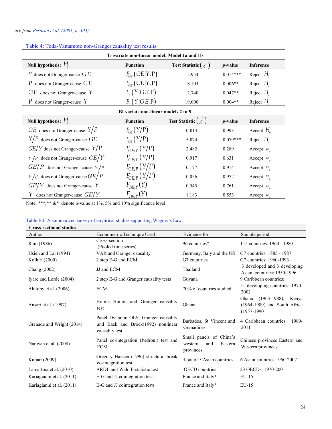| Trivariate non-linear model: Model 1a and 1b |                      |                                           |                 |                     |  |
|----------------------------------------------|----------------------|-------------------------------------------|-----------------|---------------------|--|
| Null hypothesis: $H_0$                       | <b>Function</b>      | <b>Test Statistic</b> $\chi^2$            | $p$ -value      | Inference           |  |
| $Y$ does not Granger-cause $GE$              | $F_{CF}$ (GE Y, P)   | 15.954                                    | $0.014***$      | Reject $H_0$        |  |
| P does not Granger-cause $GE$                | $F_{CF}$ (GE Y, P)   | 18.103                                    | $0.006**$       | Reject $H_{0}$      |  |
| $GE$ does not Granger-cause Y                | $F_{\rm v}(Y GE,P)$  | 12.740                                    | $0.047**$       | Reject $H_{\alpha}$ |  |
| P does not Granger-cause $Y$                 | $F_{\rm v}(Y GE,P)$  | 19.000                                    | $0.004**$       | Reject $H_{\alpha}$ |  |
| Bi-variate non-linear models 2 to 5          |                      |                                           |                 |                     |  |
| Null hypothesis: $H_0$                       | <b>Function</b>      | <b>Test Statistic <math>\chi^2</math></b> | <i>p</i> -value | Inference           |  |
| $GE$ does not Granger-cause $Y/P$            | $F_{\text{CF}}(Y/P)$ | 0.014                                     | 0.993           | Accept $H_0$        |  |
| $Y/P$ does not Granger-cause GE              | $F_{CF}$ $(Y/P)$     | 5.074                                     | $0.079***$      | Reject $H_0$        |  |
| $GE/Y$ does not Granger-cause $Y/P$          | $F_{GF/Y}(Y/P)$      | 2.482                                     | 0.289           | Accept $H_{\alpha}$ |  |
| $Y/P$ does not Granger-cause $GE/Y$          | $F_{GF/Y}(Y/P)$      | 0.917                                     | 0.631           | Accept $H_0$        |  |
| $GE/P$ does not Granger-cause $\gamma / P$   | $F_{GF/P}(Y/P)$      | 0.177                                     | 0.914           | Accept $H_0$        |  |
| $Y/P$ does not Granger-cause $GE/P$          | $F_{GF/P}(Y/P)$      | 0.056                                     | 0.972           | Accept $H_{\alpha}$ |  |
| $GE/Y$ does not Granger-cause Y              | $F_{GE/Y}(Y)$        | 0.545                                     | 0.761           | Accept $H_0$        |  |
| Y does not Granger-cause $GE/Y$              | $F_{GE/Y}(Y)$        | 1.183                                     | 0.553           | Accept $H_{\circ}$  |  |

# Table 4: Toda-Yamamoto non-Granger causality test results

Note: \*\*\*,\*\*  $&$ \* denote p-value at 1%, 5% and 10% significance level.

## Table B.I: A summarized survey of empirical studies supporting Wagner's Law.

| <b>Cross-sectional studies</b> |                                                                                              |                                                                   |                                                                                      |
|--------------------------------|----------------------------------------------------------------------------------------------|-------------------------------------------------------------------|--------------------------------------------------------------------------------------|
| Author                         | Econometric Technique Used                                                                   | Evidence for                                                      | Sample period                                                                        |
| Ram (1986)                     | Cross-section<br>(Pooled time series)                                                        | 96 countries*                                                     | 115 countries: 1960 - 1980                                                           |
| Hsieh and Lai (1994)           | VAR and Granger causality                                                                    | Germany, Italy and the US                                         | G7 countries: 1885 - 1987                                                            |
| Kolluri (2000)                 | 2 step E-G and ECM                                                                           | G7 countries                                                      | G7 countries: 1960-1993                                                              |
| Chang (2002)                   | JJ and ECM                                                                                   | Thailand                                                          | 3 developed and 3 developing<br>Asian countries: 1950-1996                           |
| Iyare and Lorde (2004)         | 2 step E-G and Granger causality tests                                                       | Guyana                                                            | 9 Caribbean countries:                                                               |
| Akitoby et al. (2006)          | <b>ECM</b>                                                                                   | 70% of countries studied                                          | 51 developing countries: 1970-<br>2002                                               |
| Ansari et al. (1997)           | Holmes-Hutton and Granger causality<br>test                                                  | Ghana                                                             | Ghana<br>$(1963-1988)$ ,<br>Kenya<br>$(1964-1989)$ and South Africa<br>$(1957-1990)$ |
| Grenade and Wright (2014)      | Panel Dynamic OLS, Granger causality<br>and Baek and Brock(1992) nonlinear<br>causality test | Barbados, St Vincent and<br>Grenadines                            | 4 Caribbean countries: 1980-<br>2011                                                 |
| Narayan et al. (2008)          | Panel co-integration (Pedroni) test and<br><b>ECM</b>                                        | Small panels of China's<br>Eastern<br>and<br>western<br>provinces | Chinese provinces Eastern and<br>Western provinces                                   |
| Kumar (2009)                   | Gregory Hansen (1996) structural break<br>co-integration test                                | 4 out of 5 Asian countries                                        | 6 Asian countries: 1960-2007                                                         |
| Lamartina et al. (2010)        | ARDL and Wald F-statistic test                                                               | <b>OECD</b> countries                                             | 23 OECDs: 1970-200                                                                   |
| Kariagianni et al. (2011)      | E-G and JJ cointegration tests                                                               | France and Italy*                                                 | $EU-15$                                                                              |
| Kariagianni et al. (2011)      | E-G and JJ cointegration tests                                                               | France and Italy*                                                 | $EU-15$                                                                              |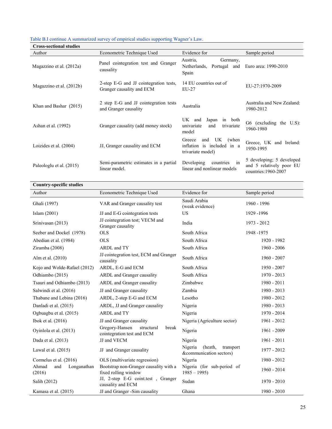| <b>Cross-sectional studies</b> |                                                                     |                                                                                  |                                                                               |
|--------------------------------|---------------------------------------------------------------------|----------------------------------------------------------------------------------|-------------------------------------------------------------------------------|
| Author                         | Econometric Technique Used                                          | Evidence for                                                                     | Sample period                                                                 |
| Magazzino et al. (2012a)       | Panel cointegration test and Granger<br>causality                   | Austria,<br>Germany,<br>Netherlands, Portugal and<br>Spain                       | Euro area: 1990-2010                                                          |
| Magazzino et al. (2012b)       | 2-step E-G and JJ cointegration tests,<br>Granger causality and ECM | 14 EU countries out of<br>$EU-27$                                                | EU-27:1970-2009                                                               |
| Khan and Bashar (2015)         | 2 step E-G and JJ cointegration tests<br>and Granger causality      | Australia                                                                        | Australia and New Zealand:<br>1980-2012                                       |
| Ashan et al. (1992)            | Granger causality (add money stock)                                 | UK and<br>Japan<br>in both<br>univariate<br>trivariate<br>and<br>model           | G6 (excluding the U.S):<br>1960-1980                                          |
| Loizides et al. (2004)         | JJ, Granger causality and ECM                                       | UK<br>and<br>Greece<br>(when)<br>inflation is included in a<br>trivariate model) | Greece, UK and Ireland:<br>1950-1995                                          |
| Paleologlu et al. (2015)       | Semi-parametric estimates in a partial<br>linear model.             | Developing<br>countries<br>$\sin$<br>linear and nonlinear models                 | 5 developing; 5 developed<br>and 5 relatively poor EU<br>countries: 1960-2007 |

## Table B.I continue A summarized survey of empirical studies supporting Wagner's Law.

| <b>Country-specific studies</b>       |                                                                     |                                                            |               |
|---------------------------------------|---------------------------------------------------------------------|------------------------------------------------------------|---------------|
| Author                                | Econometric Technique Used                                          | Evidence for                                               | Sample period |
| Ghali (1997)                          | VAR and Granger causality test                                      | Saudi Arabia<br>(weak evidence)                            | 1960 - 1996   |
| Islam (2001)                          | JJ and E-G cointegration tests                                      | US                                                         | 1929 -1996    |
| Srinivasan (2013)                     | JJ cointegration test; VECM and<br>Granger causality                | India                                                      | 1973 - 2012   |
| Seeber and Dockel (1978)              | <b>OLS</b>                                                          | South Africa                                               | 1948-1975     |
| Abedian et al. (1984)                 | <b>OLS</b>                                                          | South Africa                                               | 1920 - 1982   |
| Ziramba (2008)                        | ARDL and TY                                                         | South Africa                                               | $1960 - 2006$ |
| Alm et al. (2010)                     | JJ cointegration test, ECM and Granger<br>causality                 | South Africa                                               | 1960 - 2007   |
| Kojo and Wolde-Rafael (2012)          | ARDL, E-G and ECM                                                   | South Africa                                               | $1950 - 2007$ |
| Odhiambo (2015)                       | ARDL and Granger causality                                          | South Africa                                               | $1970 - 2013$ |
| Tsauri and Odhiambo (2013)            | ARDL and Granger causality                                          | Zimbabwe                                                   | $1980 - 2011$ |
| Salwindi et al. (2016)                | JJ and Granger causality                                            | Zambia                                                     | 1980 - 2013   |
| Thabane and Lebina (2016)             | ARDL, 2-step E-G and ECM                                            | Lesotho                                                    | 1980 - 2012   |
| Danladi et al. (2015)                 | ARDL, JJ and Granger causality                                      | Nigeria                                                    | 1980 - 2013   |
| Ogbuagbu et al. (2015)                | ARDL and TY                                                         | Nigeria                                                    | 1970 - 2014   |
| Ibok et al. (2016)                    | JJ and Granger causality                                            | Nigeria (Agriculture sector)                               | $1961 - 2012$ |
| Oyinlola et al. (2013)                | Gregory-Hansen<br>structural<br>break<br>cointegration test and ECM | Nigeria                                                    | 1961 - 2009   |
| Dada et al. (2013)                    | JJ and VECM                                                         | Nigeria                                                    | 1961 - 2011   |
| Lawal et al. $(2015)$                 | JJ and Granger causality                                            | Nigeria<br>(heath,<br>transport<br>&communication sectors) | 1977 - 2012   |
| Cormelus et al. (2016)                | OLS (multivariate regression)                                       | Nigeria                                                    | 1980 - 2012   |
| Ahmad<br>and<br>Longanathan<br>(2016) | Bootstrap non-Granger causality with a<br>fixed rolling window      | Nigeria (for sub-period of<br>$1985 - 1995$                | $1960 - 2014$ |
| Salih (2012)                          | JJ, 2-step E-G coint.test, Granger<br>causality and ECM             | Sudan                                                      | $1970 - 2010$ |
| Kamasa et al. (2015)                  | JJ and Granger -Sim causality                                       | Ghana                                                      | $1980 - 2010$ |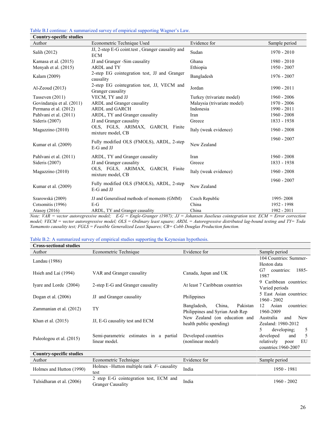Table B.I continue: A summarized survey of empirical supporting Wagner's Law.

| <b>Country-specific studies</b> |                                                                 |                             |               |
|---------------------------------|-----------------------------------------------------------------|-----------------------------|---------------|
| Author                          | Econometric Technique Used                                      | Evidence for                | Sample period |
| Salih (2012)                    | JJ, 2-step E-G coint test, Granger causality and<br><b>ECM</b>  | Sudan                       | $1970 - 2010$ |
| Kamasa et al. (2015)            | JJ and Granger -Sim causality                                   | Ghana                       | $1980 - 2010$ |
| Menyah et al. (2015)            | ARDL and TY                                                     | Ethiopia                    | 1950 - 2007   |
| Kalam (2009)                    | 2-step EG cointegration test, JJ and Granger<br>causality       | Bangladesh                  | 1976 - 2007   |
| $Al-Zeoud (2013)$               | 2-step EG cointegration test, JJ, VECM and<br>Granger causality | Jordan                      | $1990 - 2011$ |
| Tasseven $(2011)$               | VECM, TY and JJ                                                 | Turkey (trivariate model)   | $1960 - 2006$ |
| Govindaraju et al. (2011)       | ARDL and Granger causality                                      | Malaysia (trivariate model) | 1970 - 2006   |
| Permana et al. (2012)           | <b>ARDL and GARCH</b>                                           | Indonesia                   | 1990 - 2011   |
| Pahlvani et al. (2011)          | ARDL, TY and Granger causality                                  | Iran                        | $1960 - 2008$ |
| Sideris (2007)                  | JJ and Granger causality                                        | Greece                      | 1833 - 1938   |
| Magazzino (2010)                | OLS, FGLS, ARIMAX, GARCH, Finite<br>mixture model, CB           | Italy (weak evidence)       | $1960 - 2008$ |
| Kumar et al. (2009)             | Fully modified OLS (FMOLS), ARDL, 2-step<br>E-G and JJ          | New Zealand                 | $1960 - 2007$ |
| Pahlvani et al. (2011)          | ARDL, TY and Granger causality                                  | Iran                        | $1960 - 2008$ |
| Sideris (2007)                  | JJ and Granger causality                                        | Greece                      | 1833 - 1938   |
| Magazzino (2010)                | OLS, FGLS, ARIMAX, GARCH, Finite<br>mixture model, CB           | Italy (weak evidence)       | $1960 - 2008$ |
| Kumar et al. (2009)             | Fully modified OLS (FMOLS), ARDL, 2-step<br>E-G and JJ          | New Zealand                 | $1960 - 2007$ |
| Szarowská (2009)                | JJ and Generalised methods of moments (GMM)                     | Czech Republic              | 1995-2008     |
| Cotsomitis (1996)               | $E-G$                                                           | China                       | 1952 - 1998   |
| Atasoy (2016)                   | ARDL, TY and Granger causality                                  | China                       | 1982 - 2011   |

Note: VAR = vector autoregressive model;  $E-G = Engle-Granger (1987); JJ = Johannsen Juselieus cointegration test. ECM = Error correction$ model; VECM = vector autoregressive model; OLS = Ordinary least square; ARDL = Autoregressive distributed lag-bound testing and TY= Toda Yamamoto causality test;  $FGLS = Feasible$  Generalized Least Squares;  $CB = Cobb$  Douglas Production function.

#### Table B.2: A summarized survey of empirical studies supporting the Keynesian hypothesis.

| <b>Cross-sectional studies</b> |                                                         |                                   |                                |  |  |
|--------------------------------|---------------------------------------------------------|-----------------------------------|--------------------------------|--|--|
| Author                         | Econometric Technique                                   | Evidence for                      | Sample period                  |  |  |
| Landau $(1986)$                |                                                         |                                   | 104 Countries: Summer-         |  |  |
|                                |                                                         |                                   | Heston data                    |  |  |
| Hsieh and Lai (1994)           | VAR and Granger causality                               | Canada, Japan and UK              | 1885-<br>G7<br>countries:      |  |  |
|                                |                                                         |                                   | 1987                           |  |  |
| Ivare and Lorde (2004)         | 2-step E-G and Granger causality                        | At least 7 Caribbean countries    | 9 Caribbean countries:         |  |  |
|                                |                                                         |                                   | Varied periods                 |  |  |
| Dogan et al. $(2006)$          | JJ and Granger causality                                | Philippines                       | 5 East Asian countries:        |  |  |
|                                |                                                         |                                   | 1960 - 2002                    |  |  |
| Zammanian et al. (2012)        | TY                                                      | Pakistan<br>China,<br>Bangladesh, | Asian<br>countries:<br>12      |  |  |
|                                |                                                         | Philippines and Syrian Arab Rep   | 1960-2009                      |  |  |
| Khan et al. (2015)             | JJ, E-G causality test and ECM                          | New Zealand (on education and     | Australia<br><b>New</b><br>and |  |  |
|                                |                                                         | health public spending)           | Zealand: 1980-2012             |  |  |
|                                |                                                         |                                   | 5<br>developing;<br>5          |  |  |
| Paleologou et al. (2015)       | Semi-parametric estimates in a partial<br>linear model. | Developed countries               | 5<br>developed<br>and          |  |  |
|                                |                                                         | (nonlinear model)                 | EU<br>relatively<br>poor       |  |  |
|                                |                                                         |                                   | countries: 1960-2007           |  |  |

| Country-specific studies  |                                                                    |              |               |  |  |  |
|---------------------------|--------------------------------------------------------------------|--------------|---------------|--|--|--|
| Author                    | Econometric Technique                                              | Evidence for | Sample period |  |  |  |
| Holmes and Hutton (1990)  | Holmes – Hutton multiple rank $F$ - causality<br>test              | India        | 1950 - 1981   |  |  |  |
| Tulsidharan et al. (2006) | 2 step E-G cointegration test, ECM and<br><b>Granger Causality</b> | India        | $1960 - 2002$ |  |  |  |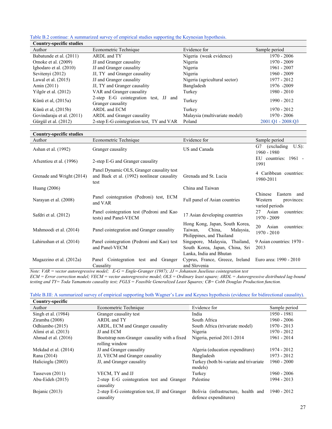Table B.2 continue: A summarized survey of empirical studies supporting the Keynesian hypothesis. Country-specific studies

| Country-spectric studies  |                                                            |                               |                   |
|---------------------------|------------------------------------------------------------|-------------------------------|-------------------|
| Author                    | Econometric Technique                                      | Evidence for                  | Sample period     |
| Babatunde et al. (2011)   | ARDL and TY                                                | Nigeria (weak evidence)       | $1970 - 2006$     |
| Omoke et al. (2009)       | JJ and Granger causality                                   | Nigeria                       | 1970 - 2009       |
| Ighodaro et al. (2010)    | JJ and Granger causality                                   | Nigeria                       | $1961 - 2007$     |
| Sevitenyi (2012)          | JJ, TY and Granger causality                               | Nigeria                       | $1960 - 2009$     |
| Lawal et al. $(2015)$     | JJ and Granger causality                                   | Nigeria (agricultural sector) | 1977 - 2012       |
| Amin $(2011)$             | JJ, TY and Granger causality                               | Bangladesh                    | 1976 -2009        |
| Yilgör et al. (2012)      | VAR and Granger causality                                  | Turkey                        | $1980 - 2010$     |
| Künü et al, (2015a)       | 2-step E-G cointegration test, JJ and<br>Granger causality | Turkey                        | 1990 - 2012       |
| Künü et al, (2015b)       | ARDL and ECM                                               | Turkey                        | 1970 - 2012       |
| Govindaraju et al. (2011) | ARDL and Granger causality                                 | Malaysia (multivariate model) | 1970 - 2006       |
| Gürgül et al. (2012)      | 2-step E-G cointegration test, TY and VAR                  | Poland                        | 2001:01 - 2008:03 |

| <b>Country-specific studies</b> |                                                                                                 |                                                                                               |                                                                   |  |
|---------------------------------|-------------------------------------------------------------------------------------------------|-----------------------------------------------------------------------------------------------|-------------------------------------------------------------------|--|
| Author                          | Econometric Technique                                                                           | Evidence for                                                                                  | Sample period                                                     |  |
| Ashan et al. (1992)             | Granger causality                                                                               | US and Canada                                                                                 | $U.S$ ):<br>G7 (excluding<br>1960 - 1980                          |  |
| Afxentiou et al. (1996)         | 2-step E-G and Granger causality                                                                |                                                                                               | EU countries: 1961 -<br>1991                                      |  |
| Grenade and Wright (2014)       | Panel Dynamic OLS, Granger causality test<br>and Baek et al. (1992) nonlinear causality<br>test | Grenada and St. Lucia                                                                         | 4 Caribbean countries:<br>1980-2011                               |  |
| Huang $(2006)$                  |                                                                                                 | China and Taiwan                                                                              |                                                                   |  |
| Narayan et al. (2008)           | Panel cointegration (Pedroni) test, ECM<br>and VAR                                              | Full panel of Asian countries                                                                 | Chinese<br>Eastern and<br>Western<br>provinces:<br>varied periods |  |
| Safdri et al. (2012)            | Panel cointegration test (Pedroni and Kao<br>tests) and Panel-VECM                              | 17 Asian developing countries                                                                 | Asian<br>27<br>countries:<br>1970 - 2009                          |  |
| Mahmoodi et al. (2014)          | Panel cointegration and Granger causality                                                       | Hong Kong, Japan, South Korea,<br>China,<br>Taiwan,<br>Malaysia,<br>Philippines, and Thailand | 20<br>Asian<br>countries:<br>$1970 - 2010$                        |  |
| Lahirushan et al. (2014)        | Panel cointegration (Pedroni and Kao) test<br>and Panel-VECM                                    | Singapore, Malaysia, Thailand,<br>South Korea, Japan, China, Sri<br>Lanka, India and Bhutan   | 9 Asian countries: 1970 -<br>2013                                 |  |
| Magazzino et al. (2012a)        | Panel Cointegration test and Granger<br>Causality                                               | Cyprus, France, Greece, Ireland Euro area: 1990 - 2010<br>and Slovenia                        |                                                                   |  |

Note: VAR = vector autoregressive model; E-G = Engle-Granger (1987); JJ = Johansen Juselieus cointegration test

ECM = Error correction model; VECM = vector autoregressive model; OLS = Ordinary least square; ARDL = Autoregressive distributed lag-bound testing and TY= Toda Yamamoto causality test; FGLS = Feasible Generalized Least Squares; CB= Cobb Douglas Production function.

| Table B.III: A summarized survey of empirical supporting both Wagner's Law and Keynes hypothesis (evidence for bidirectional causality). |  |  |  |  |  |
|------------------------------------------------------------------------------------------------------------------------------------------|--|--|--|--|--|
|                                                                                                                                          |  |  |  |  |  |

| Country-specific     |                                               |                                        |               |
|----------------------|-----------------------------------------------|----------------------------------------|---------------|
| Author               | Econometric Technique                         | Evidence for                           | Sample period |
| Singh et al. (1984)  | Granger causality test                        | India                                  | 1950 - 1981   |
| Ziramba (2008)       | ARDL and TY                                   | South Africa                           | $1960 - 2006$ |
| Odhiambo (2015)      | ARDL, ECM and Granger causality               | South Africa (trivariate model)        | $1970 - 2013$ |
| Alimi et al. (2013)  | JJ and ECM                                    | Nigeria                                | $1970 - 2012$ |
| Ahmad et al. (2016)  | Bootstrap non-Granger causality with a fixed  | Nigeria, period 2011-2014              | 1961 - 2014   |
|                      | rolling window                                |                                        |               |
| Mekdad et al. (2014) | JJ and Granger causality                      | Algeria (education expenditure)        | 1974 - 2012   |
| Rana (2014)          | JJ, VECM and Granger causality                | Bangladesh                             | 1973 - 2012   |
| Halicioglu (2003)    | JJ, and Granger causality                     | Turkey (both bi-variate and trivariate | $1960 - 2000$ |
|                      |                                               | models)                                |               |
| Tasseven $(2011)$    | VECM, TY and JJ                               | Turkey                                 | $1960 - 2006$ |
| Abu-Eideh $(2015)$   | 2-step E-G cointegration test and Granger     | Palestine                              | 1994 - 2013   |
|                      | causality                                     |                                        |               |
| Bojanic (2013)       | 2-step E-G cointegration test, JJ and Granger | Bolivia (infrastructure, health and    | 1940 - 2012   |
|                      | causality                                     | defence expenditures)                  |               |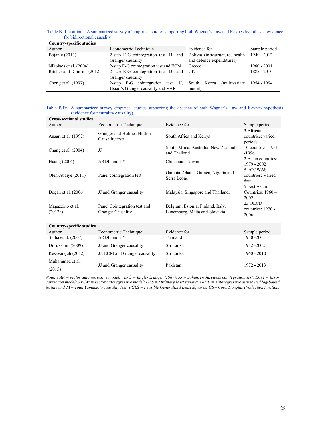Table B.III continue: A summarized survey of empirical studies supporting both Wagner's Law and Keynes hypothesis (evidence for bidirectional causality).

| <b>Country-specific studies</b> |                                                 |                                         |               |
|---------------------------------|-------------------------------------------------|-----------------------------------------|---------------|
| Author                          | Econometric Technique                           | Evidence for                            | Sample period |
| Bojanic $(2013)$                | 2-step E-G cointegration test, JJ and           | Bolivia (infrastructure, health         | $1940 - 2012$ |
|                                 | Granger causality                               | and defence expenditures)               |               |
| Nikolaos et al. (2004)          | 2-step E-G cointegration test and ECM<br>Greece |                                         | $1960 - 2001$ |
| Ritcher and Dinitrios (2012)    | 2-step E-G cointegration test, JJ and           | UK                                      | $1885 - 2010$ |
|                                 | Granger causality                               |                                         |               |
| Cheng et al. (1997)             | 2-step E-G cointegration test, JJ,              | <i>(multivariate)</i><br>Korea<br>South | 1954 - 1994   |
|                                 | Hsiao's Granger causality and VAR               | model)                                  |               |

Table B.IV: A summarized survey empirical studies supporting the absence of both Wagner's Law and Keynes hypothesis (evidence for neutrality causality).

| <b>Cross-sectional studies</b>  |                                                          |                                                                    |                                             |
|---------------------------------|----------------------------------------------------------|--------------------------------------------------------------------|---------------------------------------------|
| Author                          | Econometric Technique                                    | Evidence for                                                       | Sample period                               |
| Ansari et al. (1997)            | Granger and Holmes-Hutton<br>Causality tests             | South Africa and Kenya                                             | 3 African<br>countries: varied<br>periods   |
| Chang et al. $(2004)$           | JJ                                                       | South Africa, Australia, New Zealand<br>and Thailand               | 10 countries: 1951<br>$-1996$               |
| Huang $(2006)$                  | ARDL and TY                                              | China and Taiwan                                                   | 2 Asian countries:<br>1979 - 2002           |
| Oten-Abaiye (2011)              | Panel cointegration test                                 | Gambia, Ghana, Guinea, Nigeria and<br>Serra Leone                  | 5 ECOWAS<br>countries: Varied<br>data:      |
| Dogan et al. $(2006)$           | JJ and Granger causality                                 | Malaysia, Singapore and Thailand.                                  | 5 East Asian<br>Countries: $1960 -$<br>2002 |
| Magazzino et al.<br>(2012a)     | Panel Cointegration test and<br><b>Granger Causality</b> | Belgium, Estonia, Finland, Italy,<br>Luxemburg, Malta and Slovakia | 23 OECD<br>countries: 1970 -<br>2006        |
| <b>Country-specific studies</b> |                                                          |                                                                    |                                             |
| Author                          | Econometric Technique                                    | Evidence for                                                       | Sample period                               |
| Sinha et al. (2007)             | ARDL and TY                                              | Thailand                                                           | 1950 - 2003                                 |
| Dilrukshini (2009)              | JJ and Granger causality                                 | Sri Lanka                                                          | 1952 - 2002                                 |
| Kesavarajah (2012)              | JJ, ECM and Granger causality                            | Sri Lanka                                                          | $1960 - 2010$                               |
| Muhammad et al.<br>(2015)       | JJ and Granger causality                                 | Pakistan                                                           | 1972 - 2013                                 |

Note: VAR = vector autoregressive model; E-G = Engle-Granger (1987);  $JJ = Johannsen$  Juselieus cointegration test;  $ECM = Error$ correction model; VECM = vector autoregressive model; OLS = Ordinary least square; ARDL = Autoregressive distributed lag-bound testing and TY= Toda Yamamoto causality test; FGLS = Feasible Generalized Least Squares; CB= Cobb Douglas Production function.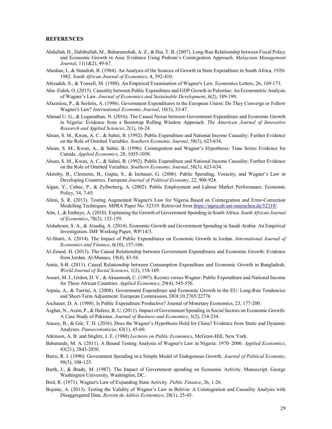#### **REFERENCES**

- Abdullah, H., Habibullah, M., Baharumshah, A. Z., & Hui, T. B. (2007). Long-Run Relationship between Fiscal Policy and Economic Growth in Asia: Evidence Using Pedroni's Cointegration Approach. Malaysian Management Journal, 11(1&2), 49-67.
- Abedian, I., & Standish, B. (1984). An Analysis of the Sources of Growth in State Expenditure in South Africa, 1920- 1982. South African Journal of Economics, 4, 392-410.
- Abizadeh, S., & Yousefi, M. (1988). An Empirical Examination of Wagner's Law. Economics Letters, 26, 169-173.
- Abu–Eideh, O. (2015). Causality between Public Expenditure and GDP Growth in Palestine: An Econometric Analysis of Wagner's Law. Journal of Economics and Sustainable Development, 6(2), 189-199.
- Afxentiou, P., & Serletis, A. (1996). Government Expenditures in the European Union: Do They Converge or Follow Wagner's Law? International Economic Journal, 10(3), 33-47.
- Ahmad U, G., & Loganathan, N. (2016). The Causal Nexus between Government Expenditure and Economic Growth in Nigeria: Evidence from a Bootstrap Rolling Window Approach. The American Journal of Innovative Research and Applied Sciences, 2(1), 16-24.
- Ahsan, S. M., Kwan, A. C., & Sahni, B. (1992). Public Expenditure and National Income Causality: Further Evidence on the Role of Omitted Variables. Southern Economic Journal, 58(3), 623-634.
- Ahsan, S. M., Kwan, A., & Sahni, B. (1996). Cointegration and Wagner's Hypothesis: Time Series Evidence for Canada. Applied Economics, 28, 1055-1058.
- Ahsan, S. M., Kwan, A. C., & Sahni, B. (1992). Public Expenditure and National Income Causality: Further Evidence on the Role of Omitted Variables. Southern Economic Journal, 58(3), 623-634.
- Akitoby, B., Clements, B., Gupta, S., & Inchaust, G. (2006). Public Spending, Voracity, and Wagner's Law in Developing Countries. European Journal of Political Economy, 22, 908-924.
- Algan, Y., Cahuc, P., & Zylberberg, A. (2002). Public Employment and Labour Market Performance. Economic Policy, 34, 7-65.
- Alimi, S. R. (2013). Testing Augmented Wagner's Law for Nigeria Based on Cointegration and Error-Correction Modelling Techniques. MPRA Paper No. 52319. Retrieved from https://mpra.ub.uni-muenchen.de/52319/
- Alm, J., & Embaye, A. (2010). Explaining the Growth of Government Spending in South Africa. South African Journal of Economics, 78(2), 152-159.
- Alshahrani, S. A., & Alsadiq, A. (2014). Economic Growth and Government Spending in Saudi Arabia: An Empirical Investigation. IMF Working Paper, WP/14/3.
- Al-Shatti, A. (2014). The Impact of Public Expenditures on Economic Growth in Jordan. International Journal of Economics and Finance, 6(10), 157-166.
- Al-Zeuod, H. (2013). The Causal Relationship between Government Expenditures and Economic Growth: Evidence from Jordan. Al-Manara, 19(4), 43-56.
- Amin, S-B. (2011). Causal Relationship between Consumption Expenditure and Economic Growth in Bangladesh. World Journal of Social Sciences, 1(2), 158-169.
- Ansari, M. I., Grdon, D. V., & Akuamoah, C. (1997). Keynes versus Wagner: Public Expenditure and National Income for Three African Countries. Applied Economics, 29(4), 545-550.
- Arpaia, A., & Turrini, A. (2008). Government Expenditure and Economic Growth in the EU: Long-Run Tendencies and Short-Term Adjustment. European Commission. DOI:10.2765/22776
- Aschauer, D. A. (1988). Is Public Expenditure Productive? Journal of Monetary Economics, 23, 177-200.
- Asghar, N., Azim, P., & Hafeez, R. U. (2011). Impact of Government Spending in Social Sectors on Economic Growth: A Case Study of Pakistan. Journal of Business and Economics, 3(2), 214-234.
- Atasoy, B., & Gür, T. H. (2016). Does the Wagner's Hypothesis Hold for China? Evidence from Static and Dynamic Analyses. Panoeconomicus, 63(1), 45-60.

Atkinson, A. B. and Stiglitz, J. E. (1980) Lectures on Public Economics, McGraw-Hill, New York.

- Babatunde, M. A. (2011). A Bound Testing Analysis of Wagner's Law in Nigeria: 1970–2006. Applied Economics, 43(21), 2843-2850.
- Barro, R. J. (1990). Government Spending in a Simple Model of Endogenous Growth. *Journal of Political Economy*, 98(5), 108-125.
- Barth, J., & Brady, M. (1987). The Impact of Government spending on Economic Activity. Manuscript. George Washington University, Washington, DC.
- Bird, R. (1971). Wagner's Law of Expanding State Activity. Public Finance, 26, 1-26.
- Bojanic, A. (2013). Testing the Validity of Wagner's Law in Bolivia: A Cointegration and Causality Analysis with Disaggregated Data. Revista de Aálisis Ecónomico, 28(1), 25-45.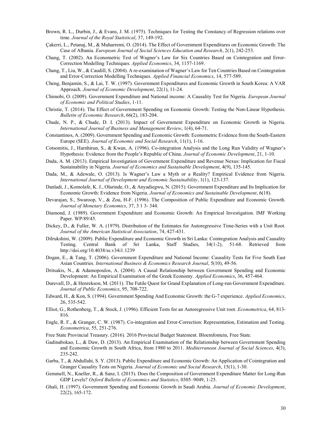- Brown, R. L., Durbin, J., & Evans, J. M. (1975). Techniques for Testing the Constancy of Regression relations over time. Journal of the Royal Statistical, 37, 149-192.
- Çakerri, L., Petanaj, M., & Muharremi, O. (2014). The Effect of Government Expenditures on Economic Growth: The Case of Albania. European Journal of Social Sciences Education and Research, 2(1), 242-253.
- Chang, T. (2002). An Econometric Test of Wagner's Law for Six Countries Based on Cointegration and Error-Correction Modelling Techniques. Applied Economics, 34, 1157-1169.
- Chang, T., Liu, W., & Caudill, S. (2004). A re-examination of Wagner's Law for Ten Countries Based on Cointegration and Error-Correction Modelling Techniques. Applied Financial Economics, 14, 577-589.
- Cheng, Benjamin, S., & Lai, T. W. (1997). Government Expenditures and Economic Growth in South Korea: A VAR Approach. Journal of Economic Development, 22(1), 11-24.
- Chimobi, O. (2009). Government Expenditure and National income: A Causality Test for Nigeria. European Journal of Economic and Political Studies, 1-11.
- Christie, T. (2014). The Effect of Government Spending on Economic Growth: Testing the Non-Linear Hypothesis. Bulletin of Economic Research, 66(2), 183-204.
- Chude, N. P., & Chude, D. I. (2013). Impact of Government Expenditure on Economic Growth in Nigeria. International Journal of Business and Management Review, 1(4), 64-71.
- Constantinos, A. (2009). Government Spending and Economic Growth: Econometric Evidence from the South-Eastern Europe (SEE). Journal of Economic and Social Research, 11(1), 1-16.
- Cotsomitis, J., Harnhirun, S., & Kwan, A. (1996). Co-integration Analysis and the Long Run Validity of Wagner's Hypothesis: Evidence from the People's Republic of China. Journal of Economic Development, 21, 1-10.
- Dada, A. M. (2013). Empirical Investigation of Government Expenditure and Revenue Nexus: Implication for Fiscal Sustainability in Nigeria. Journal of Economics and Sustainable Development, 4(9), 135-145.
- Dada, M., & Adewale, O. (2013). Is Wagner's Law a Myth or a Reality? Empirical Evidence from Nigeria. International Journal of Development and Economic Sustainability, 1(1), 123-137.
- Danladi, J., Komolafe, K. J., Olarinde, O., & Anyadiegwu, N. (2015). Government Expenditure and Its Implication for Economic Growth: Evidence from Nigeria. Journal of Economics and Sustainable Development, 6(18).
- Devarajan, S., Swaroop, V., & Zou, H-F. (1996). The Composition of Public Expenditure and Economic Growth. Journal of Monetary Economics, 37, 3 1 3- 344.
- Diamond, J. (1989). Government Expenditure and Economic Growth: An Empirical Investigation. IMF Working Paper. WP/89/45.
- Dickey, D., & Fuller, W. A. (1979). Distribution of the Estimates for Autoregressive Time-Series with a Unit Root. Journal of the American Statistical Association, 74, 427-431.
- Dilrukshini, W. (2009). Public Expenditure and Economic Growth in Sri Lanka: Cointegration Analysis and Causality Testing. Central Bank of Sri Lanka, Staff Studies, 34(1-2), 51-68. Retrieved from http://doi.org/10.4038/ss.v34i1.1239
- Dogan, E., & Tang, T. (2006). Government Expenditure and National Income: Causality Tests for Five South East Asian Countries. International Business & Economics Research Journal, 5(10), 49-56.
- Dritsakis, N., & Adamopoulos, A. (2004). A Causal Relationship between Government Spending and Economic Development: An Empirical Examination of the Greek Economy. Applied Economics, 36, 457-464.
- Durevall, D., & Henrekson, M. (2011). The Futile Quest for Grand Explanation of Long-run Government Expenditure. Journal of Public Economics, 95, 708-722.
- Edward, H., & Kon, S. (1994). Government Spending And Economic Growth: the G-7 experience. Applied Economics, 26, 535-542.
- Elliot, G., Rothenberg, T., & Stock, J. (1996). Efficient Tests for an Autoregressive Unit root. Econometrica, 64, 813-816.
- Engle, R. F., & Granger, C. W. (1987). Co-integration and Error-Correction: Representation, Estimation and Testing. Econometrica, 55, 251-276.
- Free State Provincial Treasury. (2016). 2016 Provincial Budget Statement. Bloemfontein, Free State.
- Gadinabokao, L., & Daw, D. (2013). An Empirical Examination of the Relationship between Government Spending and Economic Growth in South Africa, from 1980 to 2011. Mediterranean Journal of Social Sciences, 4(3), 235-242.
- Garba, T., & Abdullahi, S. Y. (2013). Public Expenditure and Economic Growth: An Application of Cointegration and Granger Causality Tests on Nigeria. Journal of Economic and Social Research, 15(1), 1-30.
- Gemmell, N., Kneller, R., & Sanz, I. (2015). Does the Composition of Government Expenditure Matter for Long-Run GDP Levels? Oxford Bulletin of Economics and Statistics, 0305–9049, 1-25.
- Ghali, H. (1997). Government Spending and Economic Growth in Saudi Arabia. Journal of Economic Development, 22(2), 165-172.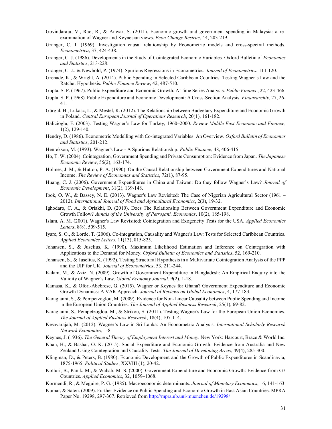- Govindaraju, V., Rao, R., & Anwar, S. (2011). Economic growth and government spending in Malaysia: a reexamination of Wagner and Keynesian views. Econ Change Restruc, 44, 203-219.
- Granger, C. J. (1969). Investigation causal relationship by Econometric models and cross-spectral methods. Econometrica, 37, 424-438.
- Granger, C. J. (1986). Developments in the Study of Cointegrated Economic Variables. Oxford Bulletin of Economics and Statistics, 213-228.
- Granger, C. J., & Newbold, P. (1974). Spurious Regressions in Econometrics. Journal of Econometrics, 111-120.
- Grenade, K., & Wright, A. (2014). Public Spending in Selected Caribbean Countries: Testing Wagner's Law and the Ratchet Hypothesis. Public Finance Review, 42, 487-510.
- Gupta, S. P. (1967). Public Expenditure and Economic Growth: A Time Series Analysis. Public Finance, 22, 423-466.
- Gupta, S. P. (1968). Public Expenditure and Economic Development: A Cross-Section Analysis. Finanzarchiv, 27, 26- 41.
- Gürgül, H., Lukasz, L., & Mestel, R. (2012). The Relationship between Budgetary Expenditure and Economic Growth in Poland. Central European Journal of Operations Research, 20(1), 161-182.
- Halicioglu, F. (2003). Testing Wagner's Law for Turkey, 1960–2000. Review Middle East Economic and Finance, 1(2), 129-140.
- Hendry, D. (1986). Econometric Modelling with Co-integrated Variables: An Overview. Oxford Bulletin of Economics and Statistics, 201-212.
- Henrekson, M. (1993). Wagner's Law A Spurious Relationship. Public Finance, 48, 406-415.
- Ho, T. W. (2004). Cointegration, Government Spending and Private Consumption: Evidence from Japan. The Japanese Economic Review, 55(2), 163-174.
- Holmes, J. M., & Hutton, P. A. (1990). On the Causal Relationship between Government Expenditures and National Income. The Review of Economics and Statistics, 72(1), 87-95.
- Huang, C. J. (2006). Government Expenditures in China and Taiwan: Do they follow Wagner's Law? Journal of Economic Development, 31(2), 139-148.
- Ibok, O. W., & Bassey, N. E. (2013). Wagner's Law Revisited: The Case of Nigerian Agricultural Sector (1961 2012). International Journal of Food and Agricultural Economics, 2(3), 19-32.
- Ighodaro, C. A., & Oriakhi, D. (2010). Does The Relationship Between Government Expenditure and Economic Growth Follow? Annals of the University of Petroşani, Economics, 10(2), 185-198.
- Islam, A. M. (2001). Wagner's Law Revisited: Cointegration and Exogeneity Tests for the USA. Applied Economics Letters, 8(8), 509-515.
- Iyare, S. O., & Lorde, T. (2006). Co-integration, Causality and Wagner's Law: Tests for Selected Caribbean Countries. Applied Economics Letters, 11(13), 815-825.
- Johansen, S., & Juselius, K. (1990). Maximum Likelihood Estimation and Inference on Cointegration with Applications to the Demand for Money. Oxford Bulletin of Economics and Statistics, 52, 169-210.
- Johansen, S., & Juselius, K. (1992). Testing Structural Hypothesis in a Multivariate Cointegration Analysis of the PPP and the UIP for UK. Journal of Econometrics, 53, 211-244.
- Kalam, M., & Aziz, N. (2009). Growth of Government Expenditure in Bangladesh: An Empirical Enquiry into the Validity of Wagner's Law. Global Economy Journal. 9(2), 1-18.
- Kamasa, K., & Ofori-Abebrese, G. (2015). Wagner or Keynes for Ghana? Government Expenditure and Economic Growth Dynamics: A VAR Approach. Journal of Reviews on Global Economics, 4, 177-183.
- Karagianni, S., & Pempetzoglou, M. (2009). Evidence for Non-Linear Causality between Public Spending and Income in the European Union Countries. The Journal of Applied Business Research, 25(1), 69-82.
- Karagianni, S., Pempetzoglou, M., & Strikou, S. (2011). Testing Wagner's Law for the European Union Economies. The Journal of Applied Business Research, 18(4), 107-114.
- Kesavarajah, M. (2012). Wagner's Law in Sri Lanka: An Econometric Analysis. International Scholarly Research Network Economics, 1-8.
- Keynes, J. (1936). The General Theory of Employment Interest and Money. New York: Harcourt, Brace & World Inc.
- Khan, H., & Bashar, O. K. (2015). Social Expenditure and Economic Growth: Evidence from Australia and New Zealand Using Cointegration and Causality Tests. The Journal of Developing Areas, 49(4), 285-300.
- Klingman, D., & Peters, B. (1980). Economic Development and the Growth of Public Expenditures in Scandinavia, 1875-1965. Political Studies, XXVIII (1), 20-42.
- Kolluri, B., Panik, M., & Wahab, M. S. (2000). Government Expenditure and Economic Growth: Evidence from G7 Countries. Applied Economics, 32, 1059–1068.
- Kormendi, R., & Meguire, P. G. (1985). Macroeconomic determinants. Journal of Monetary Economics, 16, 141-163.
- Kumar, & Saten. (2009). Further Evidence on Public Spending and Economic Growth in East Asian Countries. MPRA Paper No. 19298, 297-307. Retrieved from http://mpra.ub.uni-muenchen.de/19298/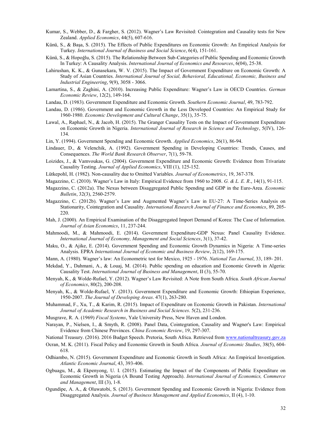- Kumar, S., Webber, D., & Fargher, S. (2012). Wagner's Law Revisited: Cointegration and Causality tests for New Zealand. Applied Economics, 44(5), 607-616.
- Künü, S., & Başa, S. (2015). The Effects of Public Expenditures on Economic Growth: An Empirical Analysis for Turkey. International Journal of Business and Social Science, 6(4), 151-161.
- Künü, S., & Hopoğlu, S. (2015). The Relationship Between Sub-Categories of Public Spending and Economic Growth In Turkey: A Causality Analysis. International Journal of Economics and Resources, 6(04), 25-38.
- Lahirushan, K. K., & Gunasekara, W. V. (2015). The Impact of Government Expenditure on Economic Growth: A Study of Asian Countries. International Journal of Social, Behavioral, Educational, Economic, Business and Industrial Engineering, 9(9), 3058 - 3066.
- Lamartina, S., & Zaghini, A. (2010). Increasing Public Expenditure: Wagner's Law in OECD Countries. German Economic Review, 12(2), 149-164.
- Landau, D. (1983). Government Expenditure and Economic Growth. Southern Economic Journal, 49, 783-792.
- Landau, D. (1986). Government and Economic Growth in the Less Developed Countries: An Empirical Study for 1960-1980. Economic Development and Cultural Change, 35(1), 35-75.
- Lawal, A., Raphael, N., & Jacob, H. (2015). The Granger Causality Tests on the Impact of Government Expenditure on Economic Growth in Nigeria. International Journal of Research in Science and Technology, 5(IV), 126-134.
- Lin, Y. (1994). Government Spending and Economic Growth. Applied Economics, 26(1), 86-94.
- Lindauer, D., & Velenchik, A. (1992). Government Spending in Developing Countries: Trends, Causes, and Consequences. The World Bank Research Observer, 7(1), 59-78.
- Loizides, J., & Vamvoukas, G. (2004). Government Expenditure and Economic Growth: Evidence from Trivariate Causality Testing. Journal of Applied Economics, VIII (1), 125-152.
- Lütkepohl, H. (1982). Non-causality due to Omitted Variables. Journal of Econometrics, 19, 367-378.
- Magazzino, C. (2010). Wagner's Law in Italy: Empirical Evidence from 1960 to 2008. G. & L. E. R., 14(1), 91-115.
- Magazzino, C. (2012a). The Nexus between Disaggregated Public Spending and GDP in the Euro-Area. Economic Bulletin, 32(3), 2560-2579.
- Magazzino, C. (2012b). Wagner's Law and Augmented Wagner's Law in EU-27: A Time-Series Analysis on Stationarity, Cointegration and Causality. International Research Journal of Finance and Economics, 89, 205- 220.
- Mah, J. (2000). An Empirical Examination of the Disaggregated Import Demand of Korea: The Case of Information. Journal of Asian Economics, 11, 237-244.
- Mahmoodi, M., & Mahmoodi, E. (2014). Government Expenditure-GDP Nexus: Panel Causality Evidence. International Journal of Economy, Management and Social Sciences, 3(1), 37-42.
- Maku, O., & Ajike, E. (2014). Government Spending and Economic Growth Dynamics in Nigeria: A Time-series Analysis. EPRA International Journal of Economic and Business Review, 2(12), 169-175.
- Mann, A. (1980). Wagner's law: An Econometric test for Mexico, 1925 1976. National Tax Journal, 33, 189- 201.
- Mekdad, Y., Dahmani, A., & Louaj, M. (2014). Public spending on education and Economic Growth in Algeria: Causality Test. International Journal of Business and Management, II (3), 55-70.
- Menyah, K., & Wolde-Rufael, Y. (2012). Wagner's Law Revisited: A Note from South Africa. South African Journal of Economics, 80(2), 200-208.
- Menyah, K., & Wolde-Rufael, Y. (2013). Government Expenditure and Economic Growth: Ethiopian Experience, 1950-2007. The Journal of Developing Areas. 47(1), 263-280.
- Muhammad, F., Xu, T., & Karim, R. (2015). Impact of Expenditure on Economic Growth in Pakistan. International Journal of Academic Research in Business and Social Sciences. 5(2), 231-236.
- Musgrave, R. A. (1969) Fiscal Systems, Yale University Press, New Haven and London.
- Narayan, P., Nielsen, I., & Smyth, R. (2008). Panel Data, Cointegration, Causality and Wagner's Law: Empirical Evidence from Chinese Provinces. China Economic Review, 19, 297-307.
- National Treasury. (2016). 2016 Budget Speech. Pretoria, South Africa. Retrieved from www.nationaltreasury.gov.za
- Ocran, M. K. (2011). Fiscal Policy and Economic Growth in South Africa. Journal of Economic Studies, 38(5), 604- 618.
- Odhiambo, N. (2015). Government Expenditure and Economic Growth in South Africa: An Empirical Investigation. Atlantic Economic Journal, 43, 393-406.
- Ogbuagu, M., & Ekpenyong, U. I. (2015). Estimating the Impact of the Components of Public Expenditure on Economic Growth in Nigeria (A Bound Testing Approach). International Journal of Economics, Commerce and Management, III (3), 1-8.
- Ogundipe, A. A., & Oluwatobi, S. (2013). Government Spending and Economic Growth in Nigeria: Evidence from Disaggregated Analysis. Journal of Business Management and Applied Economics, II (4), 1-10.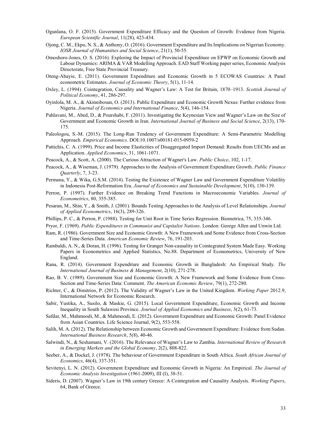- Ogunlana, O. F. (2015). Government Expenditure Efficacy and the Question of Growth: Evidence from Nigeria. European Scientific Journal, 11(28), 423-434.
- Ojong, C. M., Ekpo, N. S., & Anthony, O. (2016). Government Expenditure and Its Implications on Nigerian Economy. IOSR Journal of Humanities and Social Science, 21(1), 50-55.
- Omoshoro-Jones, O. S. (2016). Exploring the Impact of Provincial Expenditure on EPWP on Economic Growth and Labour Dynamics: ARIMA & VAR Modelling Approach. EAD Staff Working paper series, Economic Analysis Directorate, Free State Provincial Treasury.
- Oteng-Abayie, E. (2011). Government Expenditure and Economic Growth in 5 ECOWAS Countries: A Panel econometric Estimates. Journal of Economic Theory, 5(1), 11-14.
- Oxley, L. (1994). Cointegration, Causality and Wagner's Law: A Test for Britain, 1870–1913. Scottish Journal of Political Economy, 41, 286-297.
- Oyinlola, M. A., & Akinnibosun, O. (2013). Public Expenditure and Economic Growth Nexus: Further evidence from Nigeria. Journal of Economics and International Finance, 5(4), 146-154.
- Pahlavani, M., Abed, D., & Pourshabi, F. (2011). Investigating the Keynesian View and Wagner's Law on the Size of Government and Economic Growth in Iran. International Journal of Business and Social Science, 2(13), 170- 175.
- Paleologou, S.-M. (2015). The Long-Run Tendency of Government Expenditure: A Semi-Parametric Modelling Approach. Empirical Economics. DOI:10.1007/s00181-015-0959-2
- Pattichis, C. A. (1999). Price and Income Elasticities of Disaggregated Import Demand: Results from UECMs and an Application. Applied Economics, 31, 1061-1071.
- Peacock, A., & Scott, A. (2000). The Curious Attraction of Wagner's Law. Public Choice, 102, 1-17.
- Peacock, A., & Wiseman, J. (1979). Approaches to the Analysis of Government Expenditure Growth. Public Finance Quarterly, 7, 3-23.
- Permana, Y., & Wika, G.S.M. (2014). Testing the Existence of Wagner Law and Government Expenditure Volatility in Indonesia Post-Reformation Era. Journal of Economics and Sustainable Development, 5(10), 130-139.
- Perron, P. (1997). Further Evidence on Breaking Trend Functions in Macroeconomic Variables. Journal of Econometrics, 80, 355-385.
- Pesaran, M., Shin, Y., & Smith, J. (2001). Bounds Testing Approaches to the Analysis of Level Relationships. Journal of Applied Econometrics, 16(3), 289-326.
- Phillips, P. C., & Perron, P. (1988). Testing for Unit Root in Time Series Regression. Biometrica, 75, 335-346.
- Pryor, F. (1969). Public Expenditures in Communist and Capitalist Nations. London: George Allen and Unwin Ltd.
- Ram, R. (1986). Government Size and Economic Growth: A New Framework and Some Evidence from Cross-Section and Time-Series Data. American Economic Review, 76, 191-203.
- Rambaldi, A. N., & Doran, H. (1996). Testing for Granger Non-causality in Cointegrated System Made Easy. Working Papers in Econometrics and Applied Statistics, No.88. Department of Econometrics, University of New England.
- Rana, R. (2014). Government Expenditure and Economic Growth in Bangladesh: An Empirical Study. The International Journal of Business & Management, 2(10), 271-278.
- Rao, B. V. (1989). Government Size and Economic Growth: A New Framework and Some Evidence from Cross-Section and Time-Series Data: Comment. The American Economic Review, 79(1), 272-280.
- Richter, C., & Dimitrios, P. (2012). The Validity of Wagner's Law in the United Kingdom. Working Paper 2012.9, International Network for Economic Research.
- Sabir, Yustika, A., Susilo, & Maskie, G. (2015). Local Government Expenditure, Economic Growth and Income Inequality in South Sulawesi Province. Journal of Applied Economics and Business, 3(2), 61-73.
- Safdar, M., Mahmoodi, M., & Mahmoodi, E. (2012). Government Expenditure and Economic Growth: Panel Evidence from Asian Countries. Life Science Journal, 9(2), 553-558.
- Salih, M. A. (2012). The Relationship between Economic Growth and Government Expenditure: Evidence from Sudan. International Business Research, 5(8), 40-46.
- Salwindi, N., & Seshamani, V. (2016). The Relevance of Wagner's Law to Zambia. International Review of Research in Emerging Markets and the Global Economy, 2(2), 808-822.
- Seeber, A., & Dockel, J. (1978). The behaviour of Government Expenditure in South Africa. South African Journal of Economics, 46(4), 337-351.
- Sevitenyi, L. N. (2012). Government Expenditure and Economic Growth in Nigeria: An Empirical. The Journal of Economic Analysis Investigation (1961-2009), III (I), 38-51.
- Sideris, D. (2007). Wagner's Law in 19th century Greece: A Cointegration and Causality Analysis. Working Papers, 64, Bank of Greece.